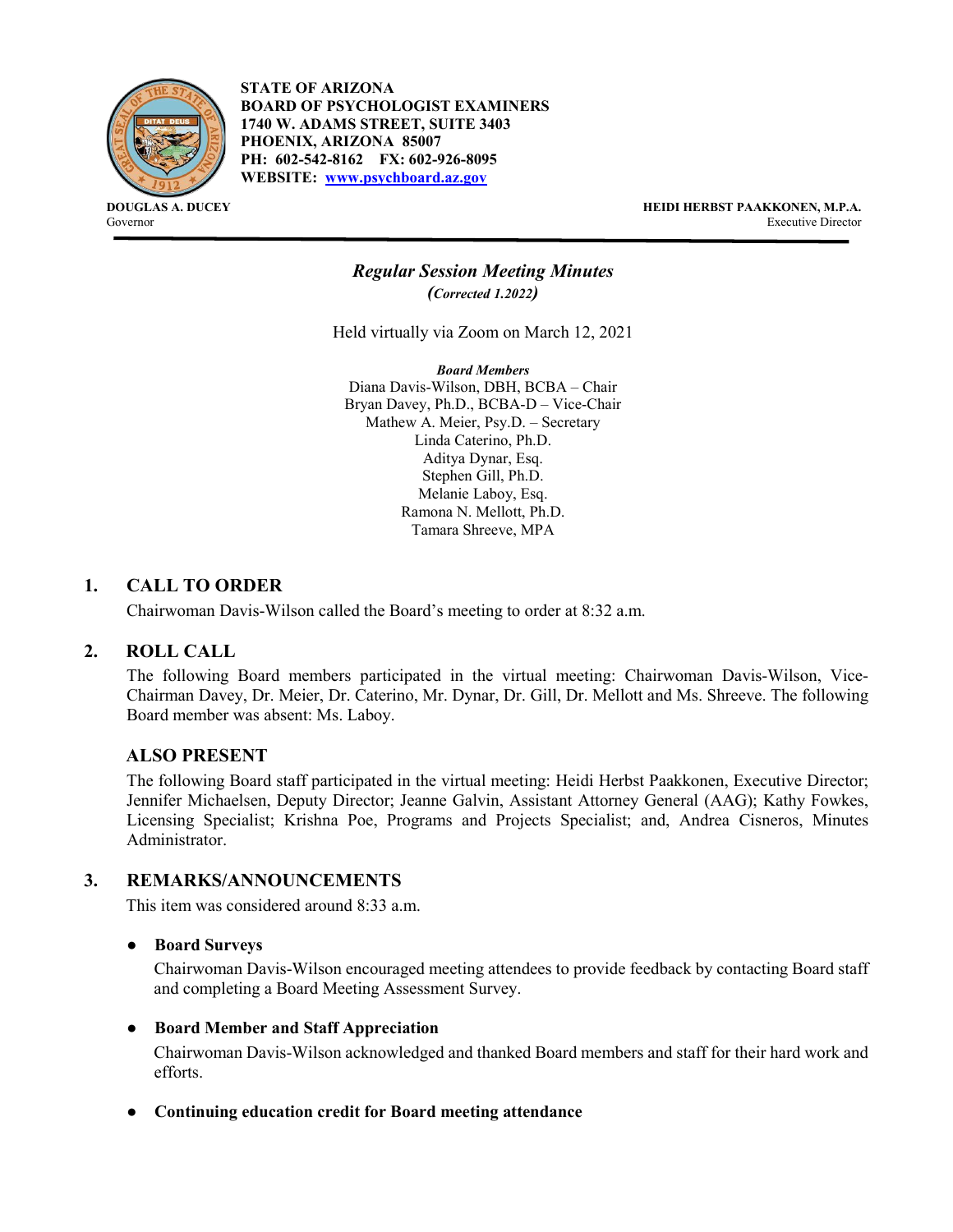

**STATE OF ARIZONA BOARD OF PSYCHOLOGIST EXAMINERS 1740 W. ADAMS STREET, SUITE 3403 PHOENIX, ARIZONA 85007 PH: 602-542-8162 FX: 602-926-8095 WEBSITE: [www.psychboard.az.gov](http://www.psychboard.az.gov/)**

**DOUGLAS A. DUCEY HEIDI HERBST PAAKKONEN, M.P.A.** Governor Executive Director

## *Regular Session Meeting Minutes (Corrected 1.2022)*

Held virtually via Zoom on March 12, 2021

*Board Members* Diana Davis-Wilson, DBH, BCBA – Chair Bryan Davey, Ph.D., BCBA-D – Vice-Chair Mathew A. Meier, Psy.D. – Secretary Linda Caterino, Ph.D. Aditya Dynar, Esq. Stephen Gill, Ph.D. Melanie Laboy, Esq. Ramona N. Mellott, Ph.D. Tamara Shreeve, MPA

### **1. CALL TO ORDER**

Chairwoman Davis-Wilson called the Board's meeting to order at 8:32 a.m.

#### **2. ROLL CALL**

The following Board members participated in the virtual meeting: Chairwoman Davis-Wilson, Vice-Chairman Davey, Dr. Meier, Dr. Caterino, Mr. Dynar, Dr. Gill, Dr. Mellott and Ms. Shreeve. The following Board member was absent: Ms. Laboy.

#### **ALSO PRESENT**

The following Board staff participated in the virtual meeting: Heidi Herbst Paakkonen, Executive Director; Jennifer Michaelsen, Deputy Director; Jeanne Galvin, Assistant Attorney General (AAG); Kathy Fowkes, Licensing Specialist; Krishna Poe, Programs and Projects Specialist; and, Andrea Cisneros, Minutes Administrator.

#### **3. REMARKS/ANNOUNCEMENTS**

This item was considered around 8:33 a.m.

#### ● **Board Surveys**

Chairwoman Davis-Wilson encouraged meeting attendees to provide feedback by contacting Board staff and completing a Board Meeting Assessment Survey.

#### ● **Board Member and Staff Appreciation**

Chairwoman Davis-Wilson acknowledged and thanked Board members and staff for their hard work and efforts.

#### ● **Continuing education credit for Board meeting attendance**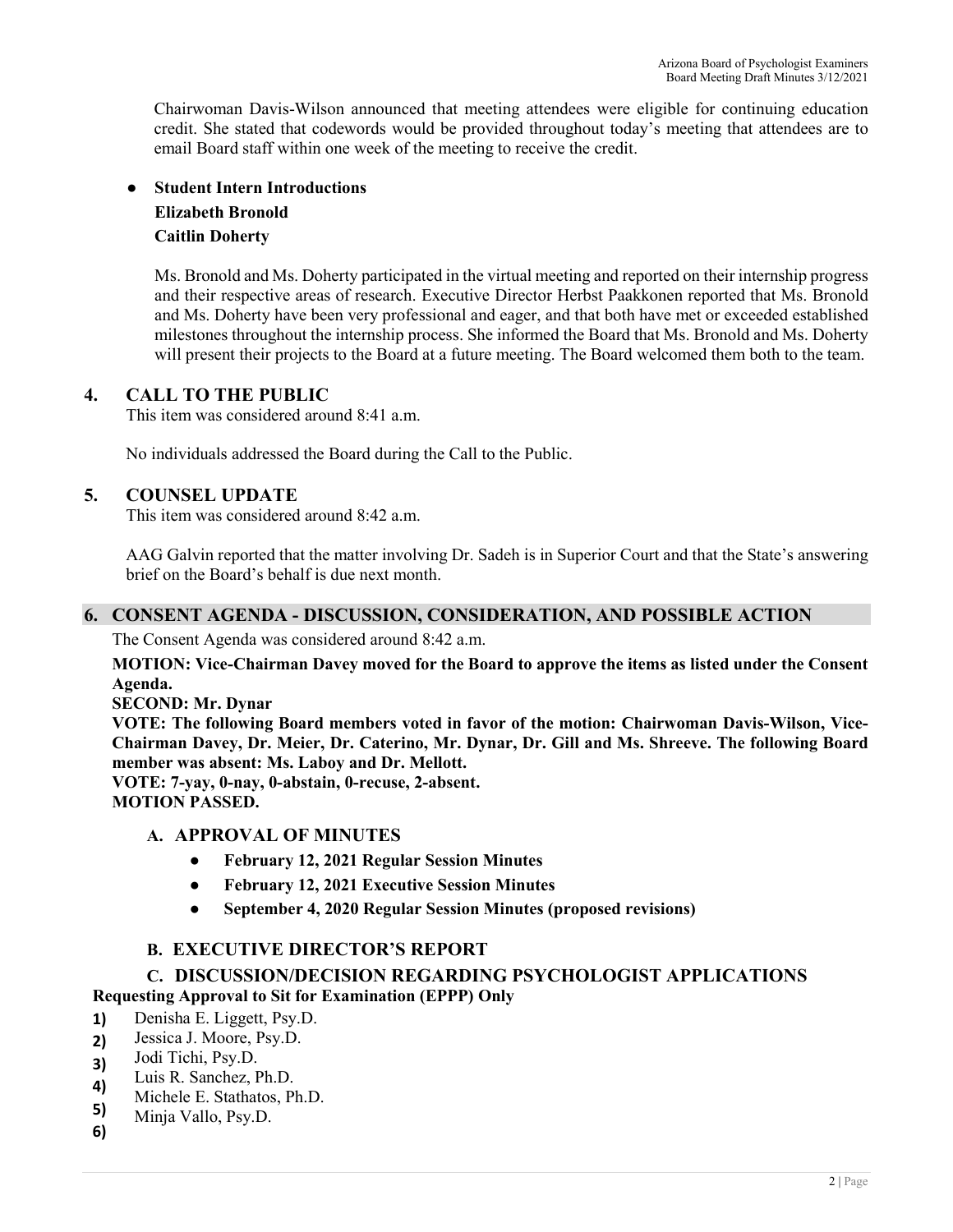Chairwoman Davis-Wilson announced that meeting attendees were eligible for continuing education credit. She stated that codewords would be provided throughout today's meeting that attendees are to email Board staff within one week of the meeting to receive the credit.

## ● **Student Intern Introductions Elizabeth Bronold Caitlin Doherty**

Ms. Bronold and Ms. Doherty participated in the virtual meeting and reported on their internship progress and their respective areas of research. Executive Director Herbst Paakkonen reported that Ms. Bronold and Ms. Doherty have been very professional and eager, and that both have met or exceeded established milestones throughout the internship process. She informed the Board that Ms. Bronold and Ms. Doherty will present their projects to the Board at a future meeting. The Board welcomed them both to the team.

### **4. CALL TO THE PUBLIC**

This item was considered around 8:41 a.m.

No individuals addressed the Board during the Call to the Public.

### **5. COUNSEL UPDATE**

This item was considered around 8:42 a.m.

AAG Galvin reported that the matter involving Dr. Sadeh is in Superior Court and that the State's answering brief on the Board's behalf is due next month.

## **6. CONSENT AGENDA - DISCUSSION, CONSIDERATION, AND POSSIBLE ACTION**

The Consent Agenda was considered around 8:42 a.m.

**MOTION: Vice-Chairman Davey moved for the Board to approve the items as listed under the Consent Agenda.** 

**SECOND: Mr. Dynar** 

**VOTE: The following Board members voted in favor of the motion: Chairwoman Davis-Wilson, Vice-Chairman Davey, Dr. Meier, Dr. Caterino, Mr. Dynar, Dr. Gill and Ms. Shreeve. The following Board member was absent: Ms. Laboy and Dr. Mellott.**

**VOTE: 7-yay, 0-nay, 0-abstain, 0-recuse, 2-absent. MOTION PASSED.** 

### **A. APPROVAL OF MINUTES**

- **● February 12, 2021 Regular Session Minutes**
- **● February 12, 2021 Executive Session Minutes**
- **● September 4, 2020 Regular Session Minutes (proposed revisions)**

## **B. EXECUTIVE DIRECTOR'S REPORT**

## **C. DISCUSSION/DECISION REGARDING PSYCHOLOGIST APPLICATIONS**

### **Requesting Approval to Sit for Examination (EPPP) Only**

- **1)** Denisha E. Liggett, Psy.D.
- **2)** Jessica J. Moore, Psy.D.
- **3)** Jodi Tichi, Psy.D.
- **4)** Luis R. Sanchez, Ph.D.
- **5)** Michele E. Stathatos, Ph.D.
- Minja Vallo, Psy.D.
- **6)**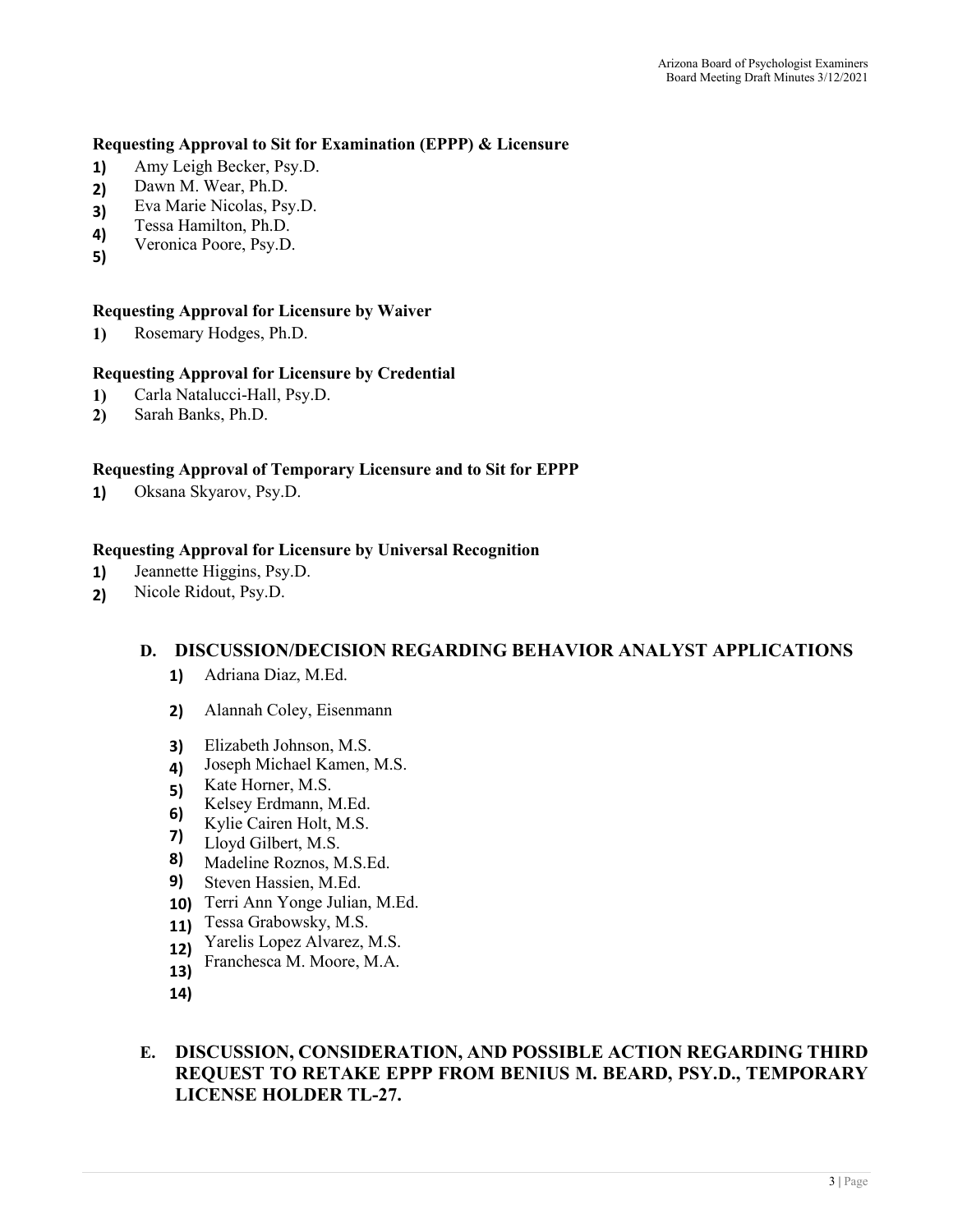#### **Requesting Approval to Sit for Examination (EPPP) & Licensure**

- **1)** Amy Leigh Becker, Psy.D.
- **2)** Dawn M. Wear, Ph.D.
- **3)** Eva Marie Nicolas, Psy.D.
- **4)** Tessa Hamilton, Ph.D.
- Veronica Poore, Psy.D.
- **5)**

#### **Requesting Approval for Licensure by Waiver**

**1)** Rosemary Hodges, Ph.D.

#### **Requesting Approval for Licensure by Credential**

- **1)** Carla Natalucci-Hall, Psy.D.
- **2)** Sarah Banks, Ph.D.

#### **Requesting Approval of Temporary Licensure and to Sit for EPPP**

**1)** Oksana Skyarov, Psy.D.

#### **Requesting Approval for Licensure by Universal Recognition**

- **1)** Jeannette Higgins, Psy.D.
- **2)** Nicole Ridout, Psy.D.

### **D. DISCUSSION/DECISION REGARDING BEHAVIOR ANALYST APPLICATIONS**

- **1)** Adriana Diaz, M.Ed.
- **2)** Alannah Coley, Eisenmann
- **3)** Elizabeth Johnson, M.S.
- **4)** Joseph Michael Kamen, M.S.
- **5)** Kate Horner, M.S.
- **6)** Kelsey Erdmann, M.Ed.
- Kylie Cairen Holt, M.S.
- **7)** Lloyd Gilbert, M.S.
- **8)** Madeline Roznos, M.S.Ed.
- **9)** Steven Hassien, M.Ed.
- **10)** Terri Ann Yonge Julian, M.Ed.
- **11)** Tessa Grabowsky, M.S.
- **12)** Yarelis Lopez Alvarez, M.S.
- **13)** Franchesca M. Moore, M.A.
- **14)**

## **E. DISCUSSION, CONSIDERATION, AND POSSIBLE ACTION REGARDING THIRD REQUEST TO RETAKE EPPP FROM BENIUS M. BEARD, PSY.D., TEMPORARY LICENSE HOLDER TL-27.**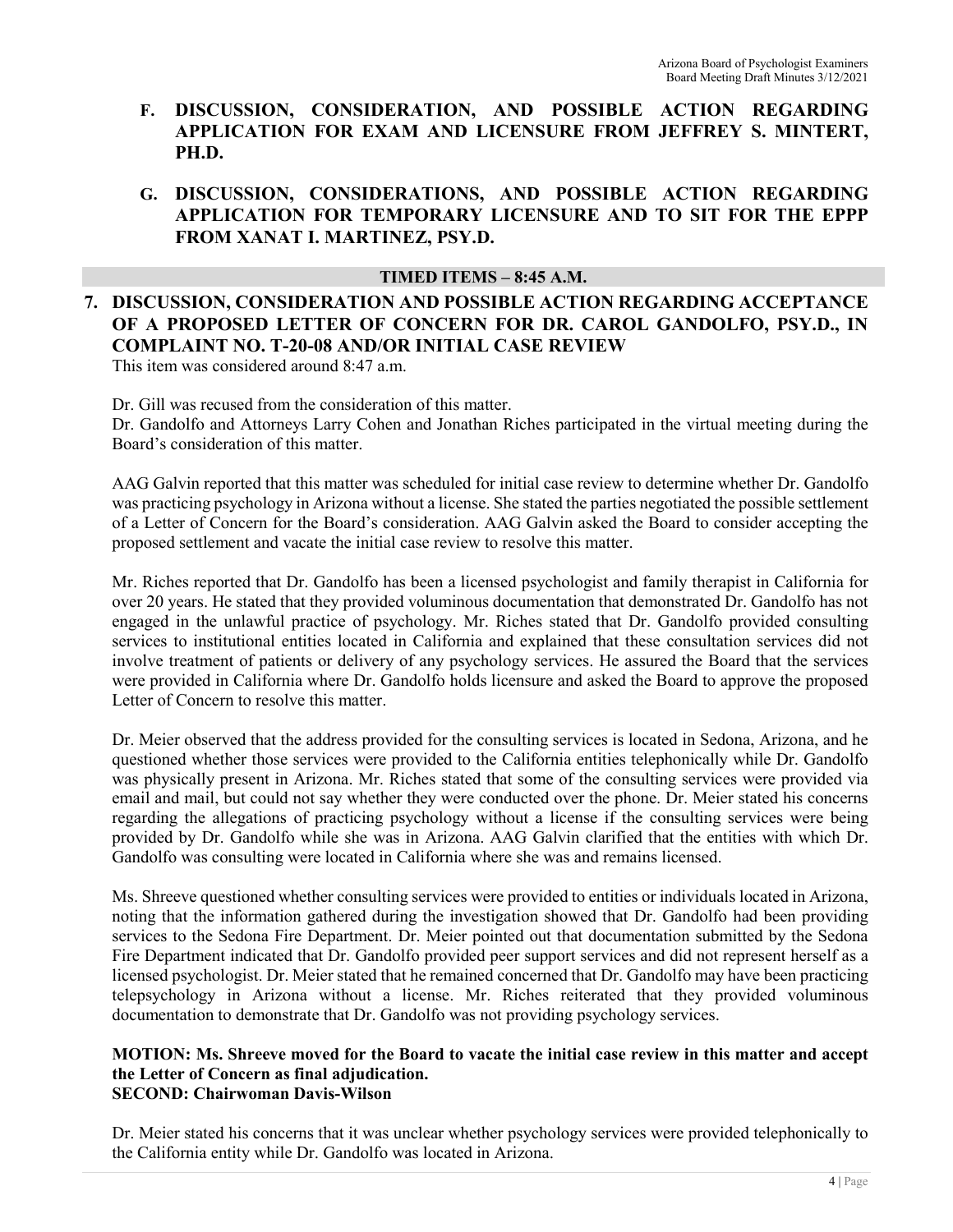- **F. DISCUSSION, CONSIDERATION, AND POSSIBLE ACTION REGARDING APPLICATION FOR EXAM AND LICENSURE FROM JEFFREY S. MINTERT, PH.D.**
- **G. DISCUSSION, CONSIDERATIONS, AND POSSIBLE ACTION REGARDING APPLICATION FOR TEMPORARY LICENSURE AND TO SIT FOR THE EPPP FROM XANAT I. MARTINEZ, PSY.D.**

#### **TIMED ITEMS – 8:45 A.M.**

# **7. DISCUSSION, CONSIDERATION AND POSSIBLE ACTION REGARDING ACCEPTANCE OF A PROPOSED LETTER OF CONCERN FOR DR. CAROL GANDOLFO, PSY.D., IN COMPLAINT NO. T-20-08 AND/OR INITIAL CASE REVIEW**

This item was considered around 8:47 a.m.

Dr. Gill was recused from the consideration of this matter.

Dr. Gandolfo and Attorneys Larry Cohen and Jonathan Riches participated in the virtual meeting during the Board's consideration of this matter.

AAG Galvin reported that this matter was scheduled for initial case review to determine whether Dr. Gandolfo was practicing psychology in Arizona without a license. She stated the parties negotiated the possible settlement of a Letter of Concern for the Board's consideration. AAG Galvin asked the Board to consider accepting the proposed settlement and vacate the initial case review to resolve this matter.

Mr. Riches reported that Dr. Gandolfo has been a licensed psychologist and family therapist in California for over 20 years. He stated that they provided voluminous documentation that demonstrated Dr. Gandolfo has not engaged in the unlawful practice of psychology. Mr. Riches stated that Dr. Gandolfo provided consulting services to institutional entities located in California and explained that these consultation services did not involve treatment of patients or delivery of any psychology services. He assured the Board that the services were provided in California where Dr. Gandolfo holds licensure and asked the Board to approve the proposed Letter of Concern to resolve this matter.

Dr. Meier observed that the address provided for the consulting services is located in Sedona, Arizona, and he questioned whether those services were provided to the California entities telephonically while Dr. Gandolfo was physically present in Arizona. Mr. Riches stated that some of the consulting services were provided via email and mail, but could not say whether they were conducted over the phone. Dr. Meier stated his concerns regarding the allegations of practicing psychology without a license if the consulting services were being provided by Dr. Gandolfo while she was in Arizona. AAG Galvin clarified that the entities with which Dr. Gandolfo was consulting were located in California where she was and remains licensed.

Ms. Shreeve questioned whether consulting services were provided to entities or individuals located in Arizona, noting that the information gathered during the investigation showed that Dr. Gandolfo had been providing services to the Sedona Fire Department. Dr. Meier pointed out that documentation submitted by the Sedona Fire Department indicated that Dr. Gandolfo provided peer support services and did not represent herself as a licensed psychologist. Dr. Meier stated that he remained concerned that Dr. Gandolfo may have been practicing telepsychology in Arizona without a license. Mr. Riches reiterated that they provided voluminous documentation to demonstrate that Dr. Gandolfo was not providing psychology services.

#### **MOTION: Ms. Shreeve moved for the Board to vacate the initial case review in this matter and accept the Letter of Concern as final adjudication. SECOND: Chairwoman Davis-Wilson**

Dr. Meier stated his concerns that it was unclear whether psychology services were provided telephonically to the California entity while Dr. Gandolfo was located in Arizona.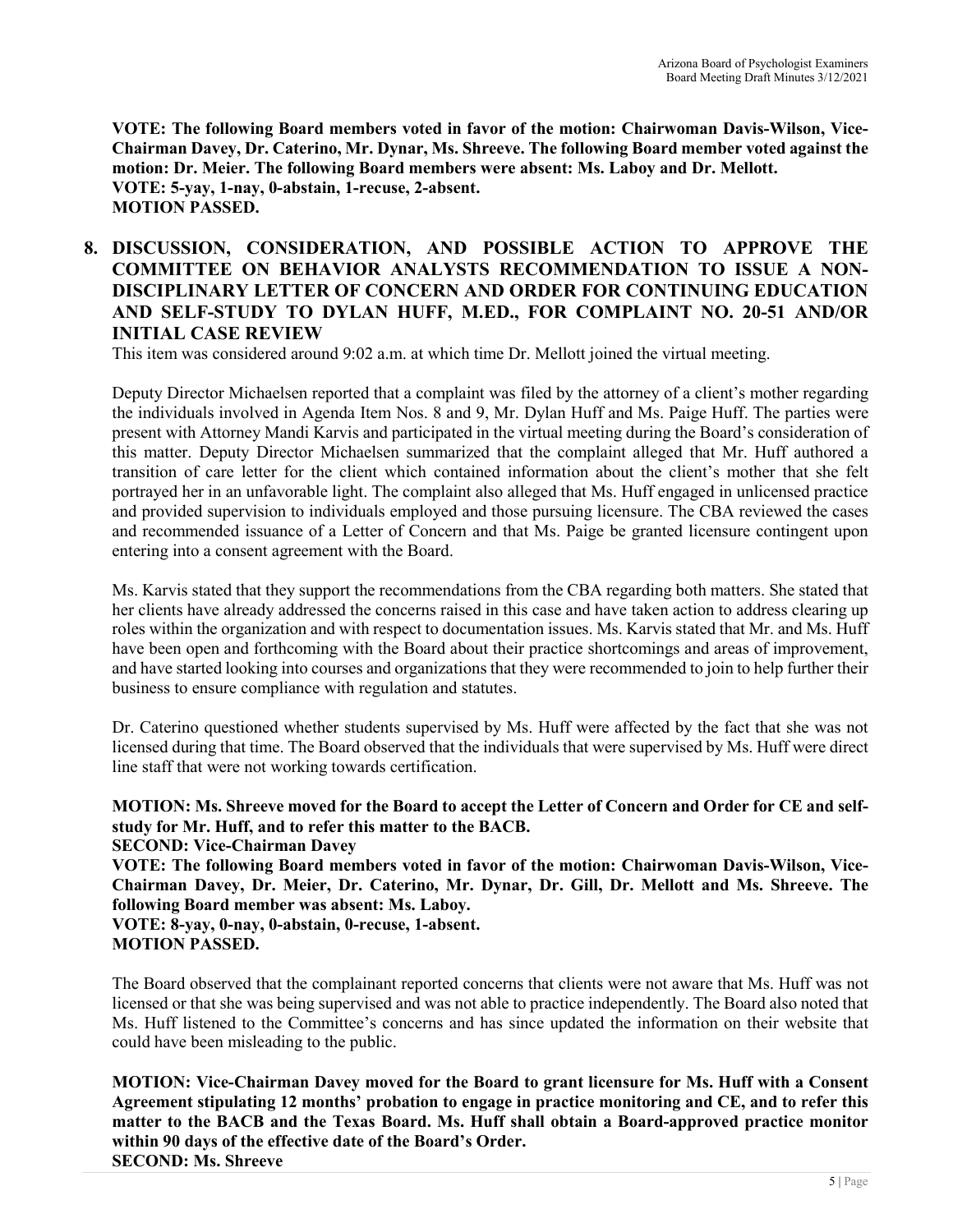**VOTE: The following Board members voted in favor of the motion: Chairwoman Davis-Wilson, Vice-Chairman Davey, Dr. Caterino, Mr. Dynar, Ms. Shreeve. The following Board member voted against the motion: Dr. Meier. The following Board members were absent: Ms. Laboy and Dr. Mellott. VOTE: 5-yay, 1-nay, 0-abstain, 1-recuse, 2-absent. MOTION PASSED.** 

## **8. DISCUSSION, CONSIDERATION, AND POSSIBLE ACTION TO APPROVE THE COMMITTEE ON BEHAVIOR ANALYSTS RECOMMENDATION TO ISSUE A NON-DISCIPLINARY LETTER OF CONCERN AND ORDER FOR CONTINUING EDUCATION AND SELF-STUDY TO DYLAN HUFF, M.ED., FOR COMPLAINT NO. 20-51 AND/OR INITIAL CASE REVIEW**

This item was considered around 9:02 a.m. at which time Dr. Mellott joined the virtual meeting.

Deputy Director Michaelsen reported that a complaint was filed by the attorney of a client's mother regarding the individuals involved in Agenda Item Nos. 8 and 9, Mr. Dylan Huff and Ms. Paige Huff. The parties were present with Attorney Mandi Karvis and participated in the virtual meeting during the Board's consideration of this matter. Deputy Director Michaelsen summarized that the complaint alleged that Mr. Huff authored a transition of care letter for the client which contained information about the client's mother that she felt portrayed her in an unfavorable light. The complaint also alleged that Ms. Huff engaged in unlicensed practice and provided supervision to individuals employed and those pursuing licensure. The CBA reviewed the cases and recommended issuance of a Letter of Concern and that Ms. Paige be granted licensure contingent upon entering into a consent agreement with the Board.

Ms. Karvis stated that they support the recommendations from the CBA regarding both matters. She stated that her clients have already addressed the concerns raised in this case and have taken action to address clearing up roles within the organization and with respect to documentation issues. Ms. Karvis stated that Mr. and Ms. Huff have been open and forthcoming with the Board about their practice shortcomings and areas of improvement, and have started looking into courses and organizations that they were recommended to join to help further their business to ensure compliance with regulation and statutes.

Dr. Caterino questioned whether students supervised by Ms. Huff were affected by the fact that she was not licensed during that time. The Board observed that the individuals that were supervised by Ms. Huff were direct line staff that were not working towards certification.

**MOTION: Ms. Shreeve moved for the Board to accept the Letter of Concern and Order for CE and selfstudy for Mr. Huff, and to refer this matter to the BACB. SECOND: Vice-Chairman Davey VOTE: The following Board members voted in favor of the motion: Chairwoman Davis-Wilson, Vice-Chairman Davey, Dr. Meier, Dr. Caterino, Mr. Dynar, Dr. Gill, Dr. Mellott and Ms. Shreeve. The** 

#### **following Board member was absent: Ms. Laboy.**

**VOTE: 8-yay, 0-nay, 0-abstain, 0-recuse, 1-absent.** 

The Board observed that the complainant reported concerns that clients were not aware that Ms. Huff was not licensed or that she was being supervised and was not able to practice independently. The Board also noted that Ms. Huff listened to the Committee's concerns and has since updated the information on their website that could have been misleading to the public.

**MOTION: Vice-Chairman Davey moved for the Board to grant licensure for Ms. Huff with a Consent Agreement stipulating 12 months' probation to engage in practice monitoring and CE, and to refer this matter to the BACB and the Texas Board. Ms. Huff shall obtain a Board-approved practice monitor within 90 days of the effective date of the Board's Order. SECOND: Ms. Shreeve** 

**MOTION PASSED.**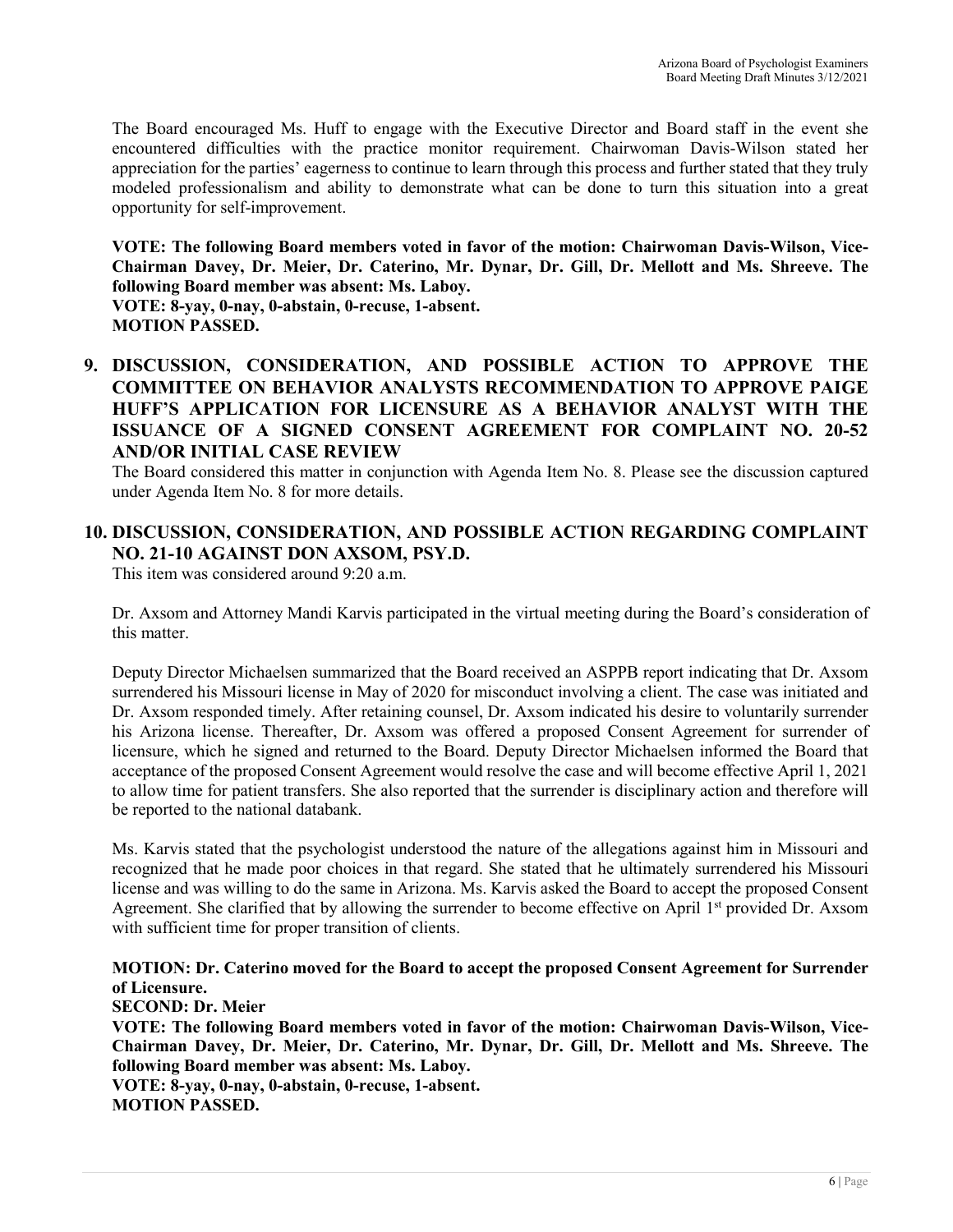The Board encouraged Ms. Huff to engage with the Executive Director and Board staff in the event she encountered difficulties with the practice monitor requirement. Chairwoman Davis-Wilson stated her appreciation for the parties' eagerness to continue to learn through this process and further stated that they truly modeled professionalism and ability to demonstrate what can be done to turn this situation into a great opportunity for self-improvement.

**VOTE: The following Board members voted in favor of the motion: Chairwoman Davis-Wilson, Vice-Chairman Davey, Dr. Meier, Dr. Caterino, Mr. Dynar, Dr. Gill, Dr. Mellott and Ms. Shreeve. The following Board member was absent: Ms. Laboy. VOTE: 8-yay, 0-nay, 0-abstain, 0-recuse, 1-absent.** 

**MOTION PASSED.** 

**9. DISCUSSION, CONSIDERATION, AND POSSIBLE ACTION TO APPROVE THE COMMITTEE ON BEHAVIOR ANALYSTS RECOMMENDATION TO APPROVE PAIGE HUFF'S APPLICATION FOR LICENSURE AS A BEHAVIOR ANALYST WITH THE ISSUANCE OF A SIGNED CONSENT AGREEMENT FOR COMPLAINT NO. 20-52 AND/OR INITIAL CASE REVIEW** 

The Board considered this matter in conjunction with Agenda Item No. 8. Please see the discussion captured under Agenda Item No. 8 for more details.

## **10. DISCUSSION, CONSIDERATION, AND POSSIBLE ACTION REGARDING COMPLAINT NO. 21-10 AGAINST DON AXSOM, PSY.D.**

This item was considered around 9:20 a.m.

Dr. Axsom and Attorney Mandi Karvis participated in the virtual meeting during the Board's consideration of this matter.

Deputy Director Michaelsen summarized that the Board received an ASPPB report indicating that Dr. Axsom surrendered his Missouri license in May of 2020 for misconduct involving a client. The case was initiated and Dr. Axsom responded timely. After retaining counsel, Dr. Axsom indicated his desire to voluntarily surrender his Arizona license. Thereafter, Dr. Axsom was offered a proposed Consent Agreement for surrender of licensure, which he signed and returned to the Board. Deputy Director Michaelsen informed the Board that acceptance of the proposed Consent Agreement would resolve the case and will become effective April 1, 2021 to allow time for patient transfers. She also reported that the surrender is disciplinary action and therefore will be reported to the national databank.

Ms. Karvis stated that the psychologist understood the nature of the allegations against him in Missouri and recognized that he made poor choices in that regard. She stated that he ultimately surrendered his Missouri license and was willing to do the same in Arizona. Ms. Karvis asked the Board to accept the proposed Consent Agreement. She clarified that by allowing the surrender to become effective on April 1<sup>st</sup> provided Dr. Axsom with sufficient time for proper transition of clients.

### **MOTION: Dr. Caterino moved for the Board to accept the proposed Consent Agreement for Surrender of Licensure.**

**SECOND: Dr. Meier** 

**VOTE: The following Board members voted in favor of the motion: Chairwoman Davis-Wilson, Vice-Chairman Davey, Dr. Meier, Dr. Caterino, Mr. Dynar, Dr. Gill, Dr. Mellott and Ms. Shreeve. The following Board member was absent: Ms. Laboy.**

**VOTE: 8-yay, 0-nay, 0-abstain, 0-recuse, 1-absent. MOTION PASSED.**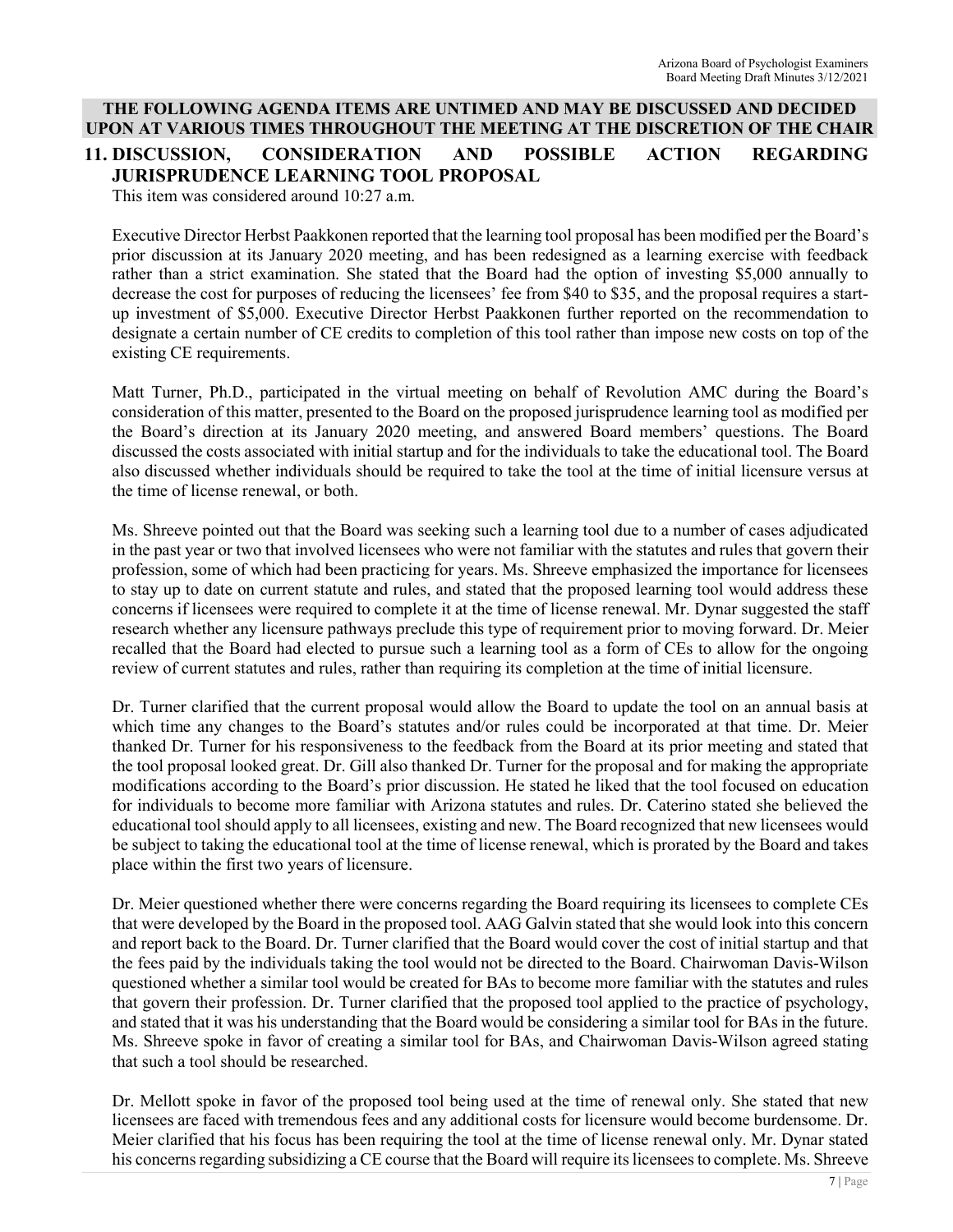# **THE FOLLOWING AGENDA ITEMS ARE UNTIMED AND MAY BE DISCUSSED AND DECIDED UPON AT VARIOUS TIMES THROUGHOUT THE MEETING AT THE DISCRETION OF THE CHAIR 11. DISCUSSION, CONSIDERATION AND POSSIBLE ACTION REGARDING JURISPRUDENCE LEARNING TOOL PROPOSAL**

This item was considered around 10:27 a.m.

Executive Director Herbst Paakkonen reported that the learning tool proposal has been modified per the Board's prior discussion at its January 2020 meeting, and has been redesigned as a learning exercise with feedback rather than a strict examination. She stated that the Board had the option of investing \$5,000 annually to decrease the cost for purposes of reducing the licensees' fee from \$40 to \$35, and the proposal requires a startup investment of \$5,000. Executive Director Herbst Paakkonen further reported on the recommendation to designate a certain number of CE credits to completion of this tool rather than impose new costs on top of the existing CE requirements.

Matt Turner, Ph.D., participated in the virtual meeting on behalf of Revolution AMC during the Board's consideration of this matter, presented to the Board on the proposed jurisprudence learning tool as modified per the Board's direction at its January 2020 meeting, and answered Board members' questions. The Board discussed the costs associated with initial startup and for the individuals to take the educational tool. The Board also discussed whether individuals should be required to take the tool at the time of initial licensure versus at the time of license renewal, or both.

Ms. Shreeve pointed out that the Board was seeking such a learning tool due to a number of cases adjudicated in the past year or two that involved licensees who were not familiar with the statutes and rules that govern their profession, some of which had been practicing for years. Ms. Shreeve emphasized the importance for licensees to stay up to date on current statute and rules, and stated that the proposed learning tool would address these concerns if licensees were required to complete it at the time of license renewal. Mr. Dynar suggested the staff research whether any licensure pathways preclude this type of requirement prior to moving forward. Dr. Meier recalled that the Board had elected to pursue such a learning tool as a form of CEs to allow for the ongoing review of current statutes and rules, rather than requiring its completion at the time of initial licensure.

Dr. Turner clarified that the current proposal would allow the Board to update the tool on an annual basis at which time any changes to the Board's statutes and/or rules could be incorporated at that time. Dr. Meier thanked Dr. Turner for his responsiveness to the feedback from the Board at its prior meeting and stated that the tool proposal looked great. Dr. Gill also thanked Dr. Turner for the proposal and for making the appropriate modifications according to the Board's prior discussion. He stated he liked that the tool focused on education for individuals to become more familiar with Arizona statutes and rules. Dr. Caterino stated she believed the educational tool should apply to all licensees, existing and new. The Board recognized that new licensees would be subject to taking the educational tool at the time of license renewal, which is prorated by the Board and takes place within the first two years of licensure.

Dr. Meier questioned whether there were concerns regarding the Board requiring its licensees to complete CEs that were developed by the Board in the proposed tool. AAG Galvin stated that she would look into this concern and report back to the Board. Dr. Turner clarified that the Board would cover the cost of initial startup and that the fees paid by the individuals taking the tool would not be directed to the Board. Chairwoman Davis-Wilson questioned whether a similar tool would be created for BAs to become more familiar with the statutes and rules that govern their profession. Dr. Turner clarified that the proposed tool applied to the practice of psychology, and stated that it was his understanding that the Board would be considering a similar tool for BAs in the future. Ms. Shreeve spoke in favor of creating a similar tool for BAs, and Chairwoman Davis-Wilson agreed stating that such a tool should be researched.

Dr. Mellott spoke in favor of the proposed tool being used at the time of renewal only. She stated that new licensees are faced with tremendous fees and any additional costs for licensure would become burdensome. Dr. Meier clarified that his focus has been requiring the tool at the time of license renewal only. Mr. Dynar stated his concerns regarding subsidizing a CE course that the Board will require its licensees to complete. Ms. Shreeve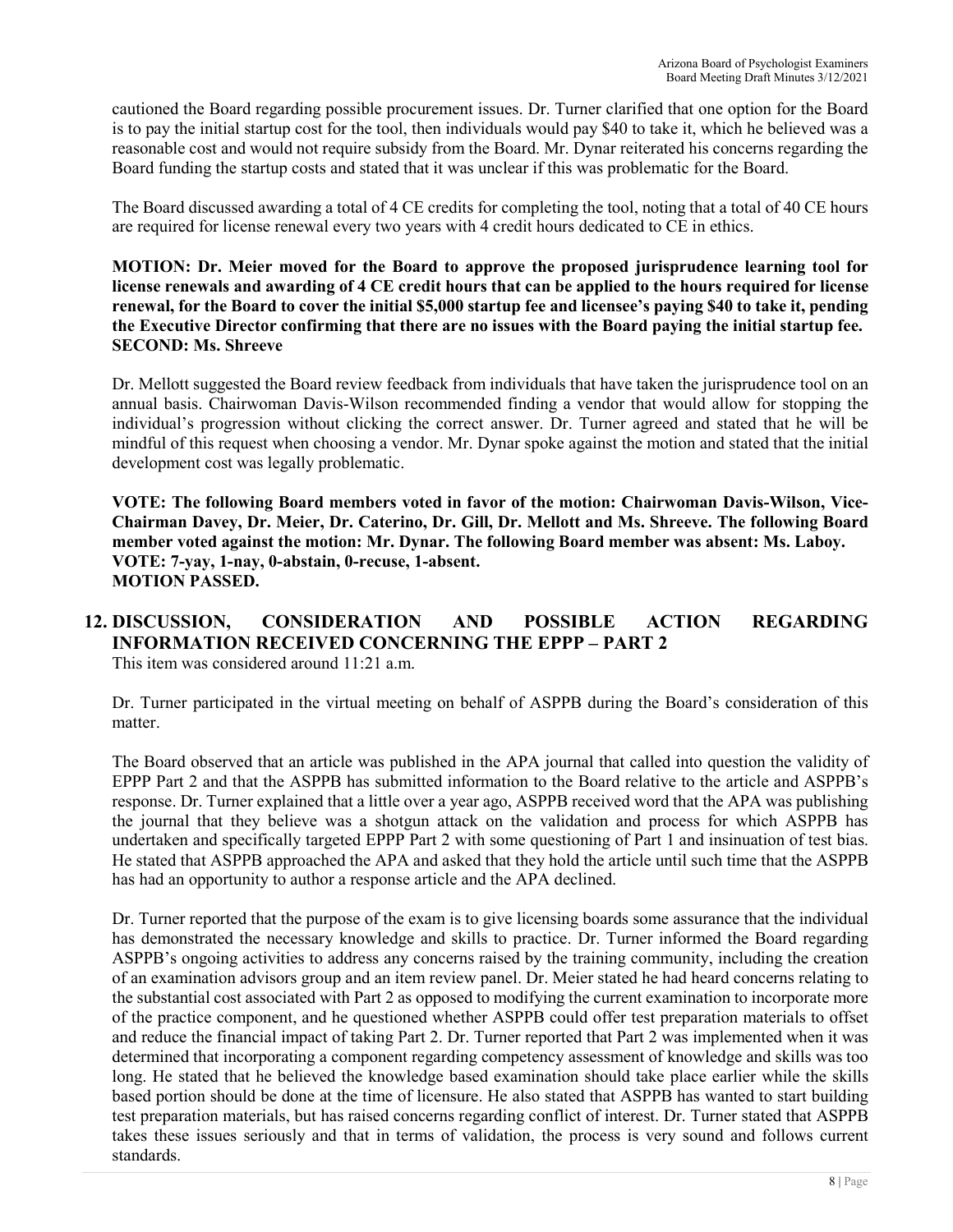cautioned the Board regarding possible procurement issues. Dr. Turner clarified that one option for the Board is to pay the initial startup cost for the tool, then individuals would pay \$40 to take it, which he believed was a reasonable cost and would not require subsidy from the Board. Mr. Dynar reiterated his concerns regarding the Board funding the startup costs and stated that it was unclear if this was problematic for the Board.

The Board discussed awarding a total of 4 CE credits for completing the tool, noting that a total of 40 CE hours are required for license renewal every two years with 4 credit hours dedicated to CE in ethics.

**MOTION: Dr. Meier moved for the Board to approve the proposed jurisprudence learning tool for license renewals and awarding of 4 CE credit hours that can be applied to the hours required for license renewal, for the Board to cover the initial \$5,000 startup fee and licensee's paying \$40 to take it, pending the Executive Director confirming that there are no issues with the Board paying the initial startup fee. SECOND: Ms. Shreeve**

Dr. Mellott suggested the Board review feedback from individuals that have taken the jurisprudence tool on an annual basis. Chairwoman Davis-Wilson recommended finding a vendor that would allow for stopping the individual's progression without clicking the correct answer. Dr. Turner agreed and stated that he will be mindful of this request when choosing a vendor. Mr. Dynar spoke against the motion and stated that the initial development cost was legally problematic.

**VOTE: The following Board members voted in favor of the motion: Chairwoman Davis-Wilson, Vice-Chairman Davey, Dr. Meier, Dr. Caterino, Dr. Gill, Dr. Mellott and Ms. Shreeve. The following Board member voted against the motion: Mr. Dynar. The following Board member was absent: Ms. Laboy. VOTE: 7-yay, 1-nay, 0-abstain, 0-recuse, 1-absent. MOTION PASSED.** 

#### **12. DISCUSSION, CONSIDERATION AND POSSIBLE ACTION REGARDING INFORMATION RECEIVED CONCERNING THE EPPP – PART 2** This item was considered around 11:21 a.m.

Dr. Turner participated in the virtual meeting on behalf of ASPPB during the Board's consideration of this matter.

The Board observed that an article was published in the APA journal that called into question the validity of EPPP Part 2 and that the ASPPB has submitted information to the Board relative to the article and ASPPB's response. Dr. Turner explained that a little over a year ago, ASPPB received word that the APA was publishing the journal that they believe was a shotgun attack on the validation and process for which ASPPB has undertaken and specifically targeted EPPP Part 2 with some questioning of Part 1 and insinuation of test bias. He stated that ASPPB approached the APA and asked that they hold the article until such time that the ASPPB has had an opportunity to author a response article and the APA declined.

Dr. Turner reported that the purpose of the exam is to give licensing boards some assurance that the individual has demonstrated the necessary knowledge and skills to practice. Dr. Turner informed the Board regarding ASPPB's ongoing activities to address any concerns raised by the training community, including the creation of an examination advisors group and an item review panel. Dr. Meier stated he had heard concerns relating to the substantial cost associated with Part 2 as opposed to modifying the current examination to incorporate more of the practice component, and he questioned whether ASPPB could offer test preparation materials to offset and reduce the financial impact of taking Part 2. Dr. Turner reported that Part 2 was implemented when it was determined that incorporating a component regarding competency assessment of knowledge and skills was too long. He stated that he believed the knowledge based examination should take place earlier while the skills based portion should be done at the time of licensure. He also stated that ASPPB has wanted to start building test preparation materials, but has raised concerns regarding conflict of interest. Dr. Turner stated that ASPPB takes these issues seriously and that in terms of validation, the process is very sound and follows current standards.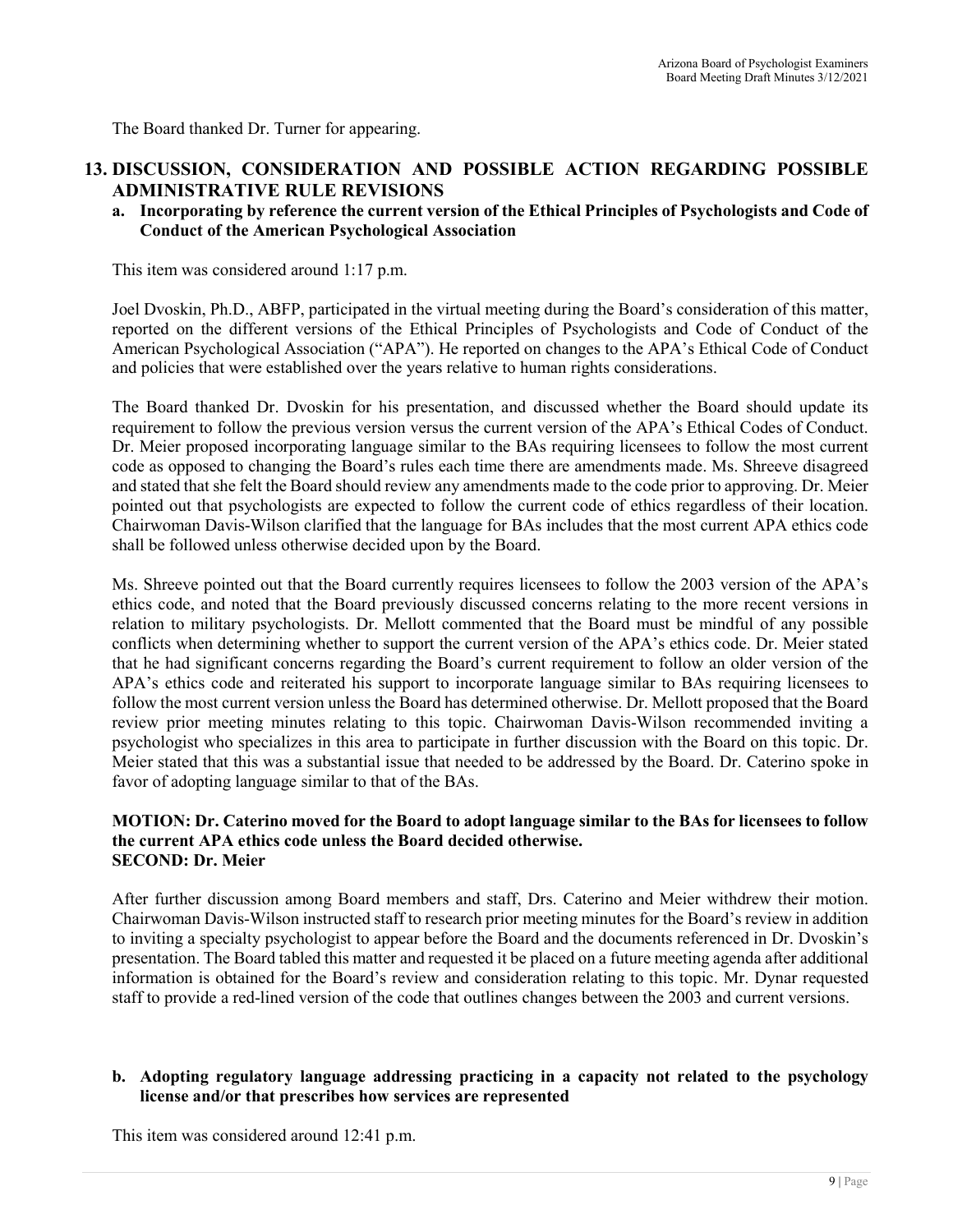The Board thanked Dr. Turner for appearing.

## **13. DISCUSSION, CONSIDERATION AND POSSIBLE ACTION REGARDING POSSIBLE ADMINISTRATIVE RULE REVISIONS**

**a. Incorporating by reference the current version of the Ethical Principles of Psychologists and Code of Conduct of the American Psychological Association**

This item was considered around 1:17 p.m.

Joel Dvoskin, Ph.D., ABFP, participated in the virtual meeting during the Board's consideration of this matter, reported on the different versions of the Ethical Principles of Psychologists and Code of Conduct of the American Psychological Association ("APA"). He reported on changes to the APA's Ethical Code of Conduct and policies that were established over the years relative to human rights considerations.

The Board thanked Dr. Dvoskin for his presentation, and discussed whether the Board should update its requirement to follow the previous version versus the current version of the APA's Ethical Codes of Conduct. Dr. Meier proposed incorporating language similar to the BAs requiring licensees to follow the most current code as opposed to changing the Board's rules each time there are amendments made. Ms. Shreeve disagreed and stated that she felt the Board should review any amendments made to the code prior to approving. Dr. Meier pointed out that psychologists are expected to follow the current code of ethics regardless of their location. Chairwoman Davis-Wilson clarified that the language for BAs includes that the most current APA ethics code shall be followed unless otherwise decided upon by the Board.

Ms. Shreeve pointed out that the Board currently requires licensees to follow the 2003 version of the APA's ethics code, and noted that the Board previously discussed concerns relating to the more recent versions in relation to military psychologists. Dr. Mellott commented that the Board must be mindful of any possible conflicts when determining whether to support the current version of the APA's ethics code. Dr. Meier stated that he had significant concerns regarding the Board's current requirement to follow an older version of the APA's ethics code and reiterated his support to incorporate language similar to BAs requiring licensees to follow the most current version unless the Board has determined otherwise. Dr. Mellott proposed that the Board review prior meeting minutes relating to this topic. Chairwoman Davis-Wilson recommended inviting a psychologist who specializes in this area to participate in further discussion with the Board on this topic. Dr. Meier stated that this was a substantial issue that needed to be addressed by the Board. Dr. Caterino spoke in favor of adopting language similar to that of the BAs.

#### **MOTION: Dr. Caterino moved for the Board to adopt language similar to the BAs for licensees to follow the current APA ethics code unless the Board decided otherwise. SECOND: Dr. Meier**

After further discussion among Board members and staff, Drs. Caterino and Meier withdrew their motion. Chairwoman Davis-Wilson instructed staff to research prior meeting minutes for the Board's review in addition to inviting a specialty psychologist to appear before the Board and the documents referenced in Dr. Dvoskin's presentation. The Board tabled this matter and requested it be placed on a future meeting agenda after additional information is obtained for the Board's review and consideration relating to this topic. Mr. Dynar requested staff to provide a red-lined version of the code that outlines changes between the 2003 and current versions.

#### **b. Adopting regulatory language addressing practicing in a capacity not related to the psychology license and/or that prescribes how services are represented**

This item was considered around 12:41 p.m.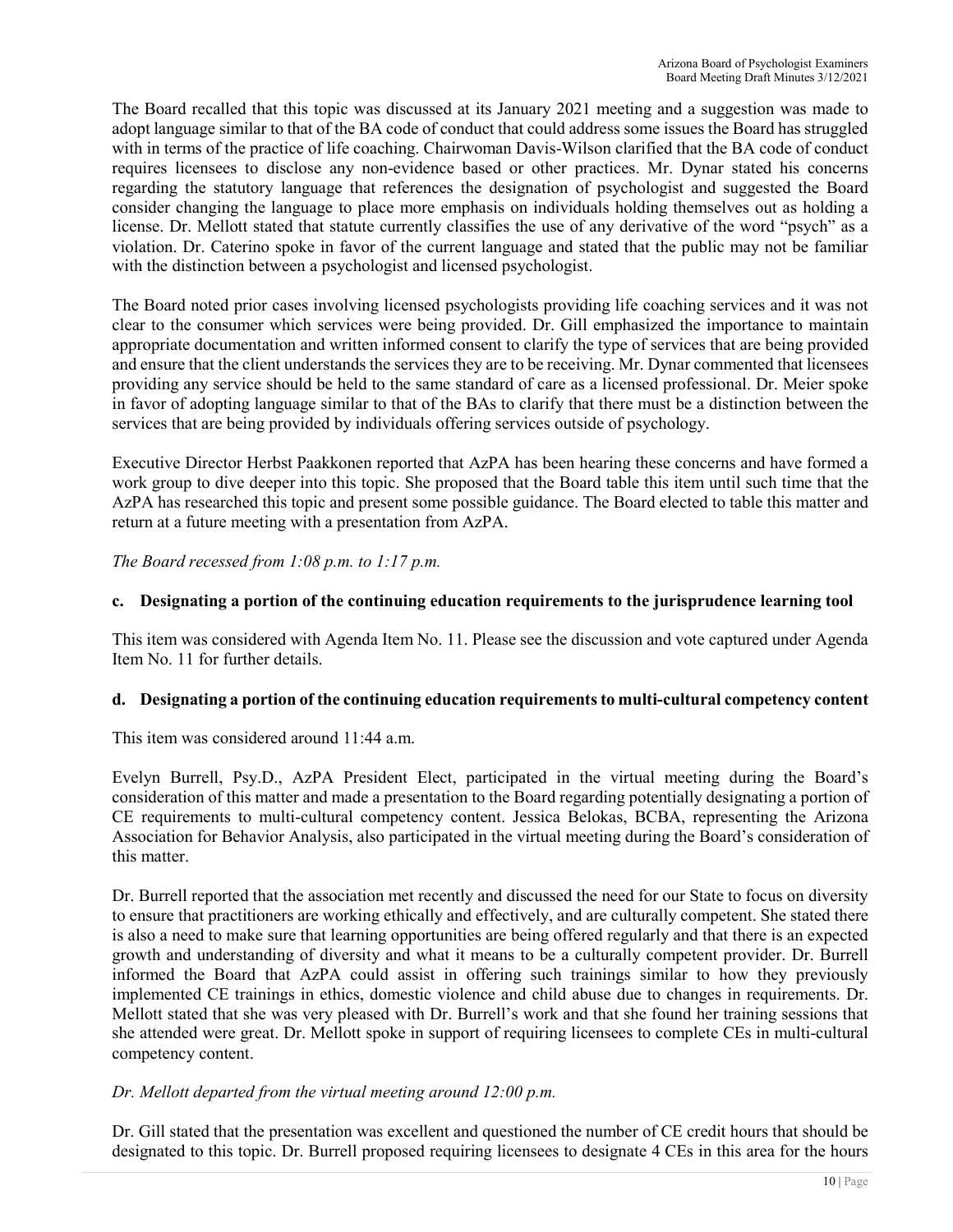The Board recalled that this topic was discussed at its January 2021 meeting and a suggestion was made to adopt language similar to that of the BA code of conduct that could address some issues the Board has struggled with in terms of the practice of life coaching. Chairwoman Davis-Wilson clarified that the BA code of conduct requires licensees to disclose any non-evidence based or other practices. Mr. Dynar stated his concerns regarding the statutory language that references the designation of psychologist and suggested the Board consider changing the language to place more emphasis on individuals holding themselves out as holding a license. Dr. Mellott stated that statute currently classifies the use of any derivative of the word "psych" as a violation. Dr. Caterino spoke in favor of the current language and stated that the public may not be familiar with the distinction between a psychologist and licensed psychologist.

The Board noted prior cases involving licensed psychologists providing life coaching services and it was not clear to the consumer which services were being provided. Dr. Gill emphasized the importance to maintain appropriate documentation and written informed consent to clarify the type of services that are being provided and ensure that the client understands the services they are to be receiving. Mr. Dynar commented that licensees providing any service should be held to the same standard of care as a licensed professional. Dr. Meier spoke in favor of adopting language similar to that of the BAs to clarify that there must be a distinction between the services that are being provided by individuals offering services outside of psychology.

Executive Director Herbst Paakkonen reported that AzPA has been hearing these concerns and have formed a work group to dive deeper into this topic. She proposed that the Board table this item until such time that the AzPA has researched this topic and present some possible guidance. The Board elected to table this matter and return at a future meeting with a presentation from AzPA.

*The Board recessed from 1:08 p.m. to 1:17 p.m.* 

#### **c. Designating a portion of the continuing education requirements to the jurisprudence learning tool**

This item was considered with Agenda Item No. 11. Please see the discussion and vote captured under Agenda Item No. 11 for further details.

#### **d. Designating a portion of the continuing education requirements to multi-cultural competency content**

This item was considered around 11:44 a.m.

Evelyn Burrell, Psy.D., AzPA President Elect, participated in the virtual meeting during the Board's consideration of this matter and made a presentation to the Board regarding potentially designating a portion of CE requirements to multi-cultural competency content. Jessica Belokas, BCBA, representing the Arizona Association for Behavior Analysis, also participated in the virtual meeting during the Board's consideration of this matter.

Dr. Burrell reported that the association met recently and discussed the need for our State to focus on diversity to ensure that practitioners are working ethically and effectively, and are culturally competent. She stated there is also a need to make sure that learning opportunities are being offered regularly and that there is an expected growth and understanding of diversity and what it means to be a culturally competent provider. Dr. Burrell informed the Board that AzPA could assist in offering such trainings similar to how they previously implemented CE trainings in ethics, domestic violence and child abuse due to changes in requirements. Dr. Mellott stated that she was very pleased with Dr. Burrell's work and that she found her training sessions that she attended were great. Dr. Mellott spoke in support of requiring licensees to complete CEs in multi-cultural competency content.

#### *Dr. Mellott departed from the virtual meeting around 12:00 p.m.*

Dr. Gill stated that the presentation was excellent and questioned the number of CE credit hours that should be designated to this topic. Dr. Burrell proposed requiring licensees to designate 4 CEs in this area for the hours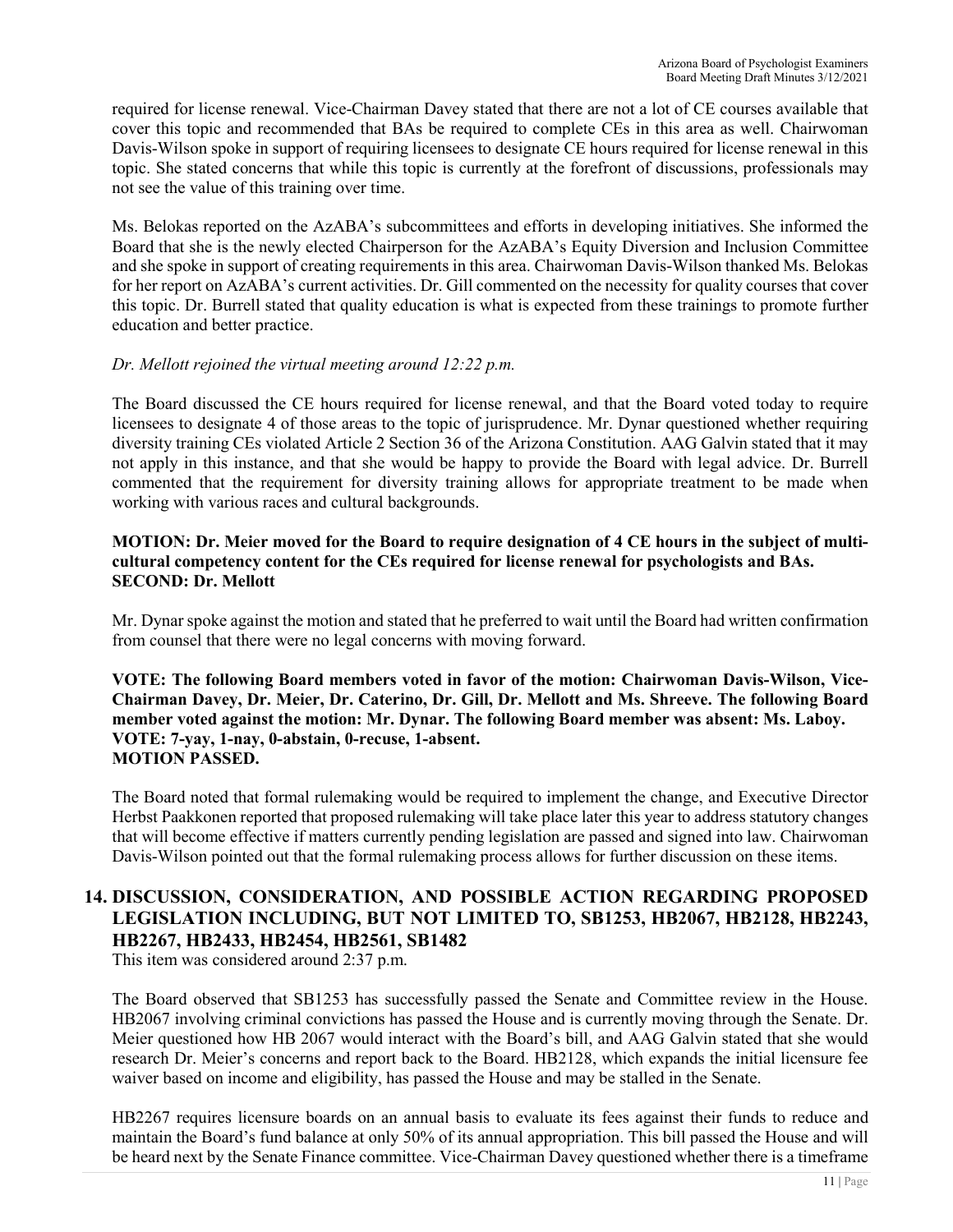required for license renewal. Vice-Chairman Davey stated that there are not a lot of CE courses available that cover this topic and recommended that BAs be required to complete CEs in this area as well. Chairwoman Davis-Wilson spoke in support of requiring licensees to designate CE hours required for license renewal in this topic. She stated concerns that while this topic is currently at the forefront of discussions, professionals may not see the value of this training over time.

Ms. Belokas reported on the AzABA's subcommittees and efforts in developing initiatives. She informed the Board that she is the newly elected Chairperson for the AzABA's Equity Diversion and Inclusion Committee and she spoke in support of creating requirements in this area. Chairwoman Davis-Wilson thanked Ms. Belokas for her report on AzABA's current activities. Dr. Gill commented on the necessity for quality courses that cover this topic. Dr. Burrell stated that quality education is what is expected from these trainings to promote further education and better practice.

#### *Dr. Mellott rejoined the virtual meeting around 12:22 p.m.*

The Board discussed the CE hours required for license renewal, and that the Board voted today to require licensees to designate 4 of those areas to the topic of jurisprudence. Mr. Dynar questioned whether requiring diversity training CEs violated Article 2 Section 36 of the Arizona Constitution. AAG Galvin stated that it may not apply in this instance, and that she would be happy to provide the Board with legal advice. Dr. Burrell commented that the requirement for diversity training allows for appropriate treatment to be made when working with various races and cultural backgrounds.

#### **MOTION: Dr. Meier moved for the Board to require designation of 4 CE hours in the subject of multicultural competency content for the CEs required for license renewal for psychologists and BAs. SECOND: Dr. Mellott**

Mr. Dynar spoke against the motion and stated that he preferred to wait until the Board had written confirmation from counsel that there were no legal concerns with moving forward.

#### **VOTE: The following Board members voted in favor of the motion: Chairwoman Davis-Wilson, Vice-Chairman Davey, Dr. Meier, Dr. Caterino, Dr. Gill, Dr. Mellott and Ms. Shreeve. The following Board member voted against the motion: Mr. Dynar. The following Board member was absent: Ms. Laboy. VOTE: 7-yay, 1-nay, 0-abstain, 0-recuse, 1-absent. MOTION PASSED.**

The Board noted that formal rulemaking would be required to implement the change, and Executive Director Herbst Paakkonen reported that proposed rulemaking will take place later this year to address statutory changes that will become effective if matters currently pending legislation are passed and signed into law. Chairwoman Davis-Wilson pointed out that the formal rulemaking process allows for further discussion on these items.

## **14. DISCUSSION, CONSIDERATION, AND POSSIBLE ACTION REGARDING PROPOSED LEGISLATION INCLUDING, BUT NOT LIMITED TO, SB1253, HB2067, HB2128, HB2243, HB2267, HB2433, HB2454, HB2561, SB1482**

This item was considered around 2:37 p.m.

The Board observed that SB1253 has successfully passed the Senate and Committee review in the House. HB2067 involving criminal convictions has passed the House and is currently moving through the Senate. Dr. Meier questioned how HB 2067 would interact with the Board's bill, and AAG Galvin stated that she would research Dr. Meier's concerns and report back to the Board. HB2128, which expands the initial licensure fee waiver based on income and eligibility, has passed the House and may be stalled in the Senate.

HB2267 requires licensure boards on an annual basis to evaluate its fees against their funds to reduce and maintain the Board's fund balance at only 50% of its annual appropriation. This bill passed the House and will be heard next by the Senate Finance committee. Vice-Chairman Davey questioned whether there is a timeframe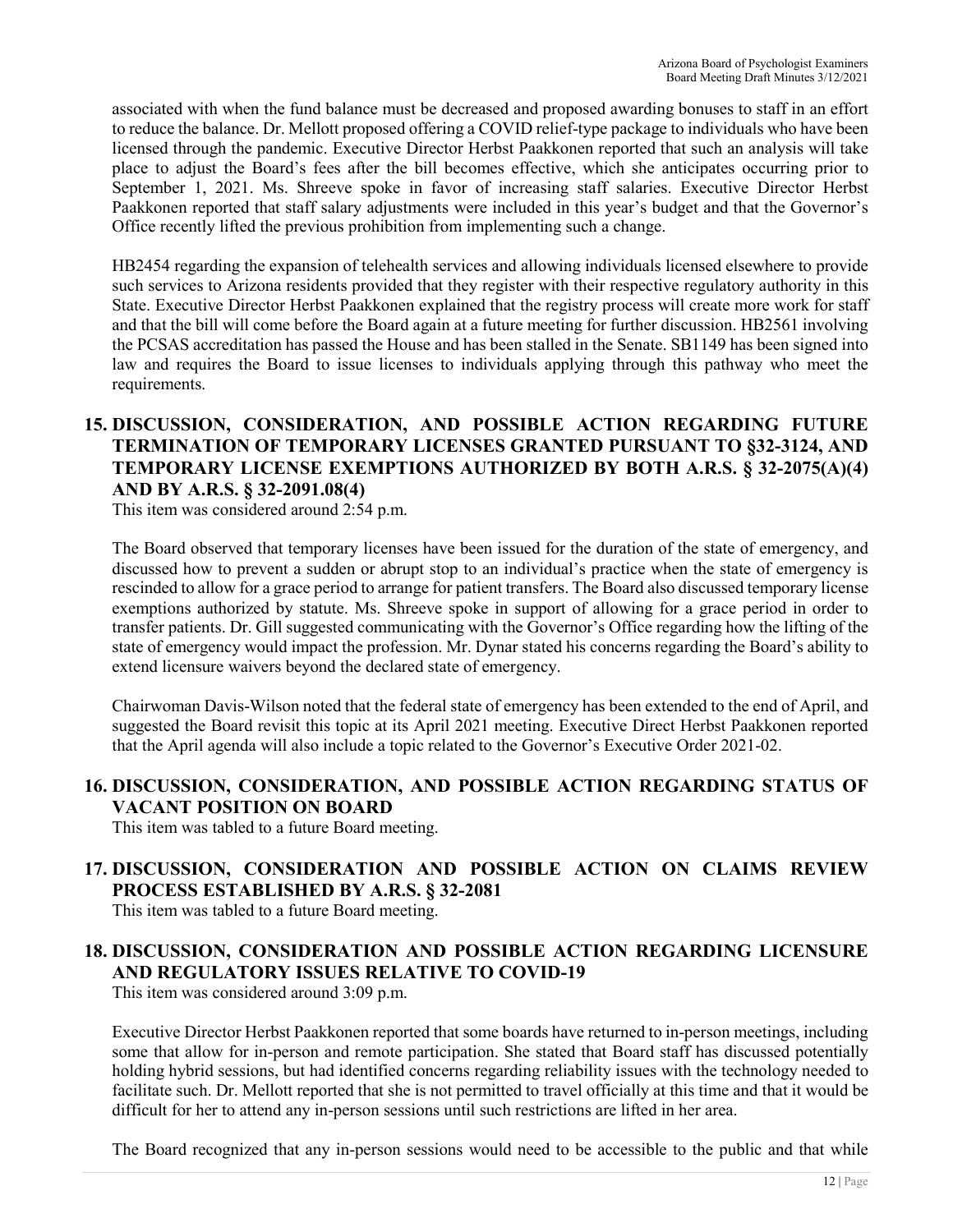associated with when the fund balance must be decreased and proposed awarding bonuses to staff in an effort to reduce the balance. Dr. Mellott proposed offering a COVID relief-type package to individuals who have been licensed through the pandemic. Executive Director Herbst Paakkonen reported that such an analysis will take place to adjust the Board's fees after the bill becomes effective, which she anticipates occurring prior to September 1, 2021. Ms. Shreeve spoke in favor of increasing staff salaries. Executive Director Herbst Paakkonen reported that staff salary adjustments were included in this year's budget and that the Governor's Office recently lifted the previous prohibition from implementing such a change.

HB2454 regarding the expansion of telehealth services and allowing individuals licensed elsewhere to provide such services to Arizona residents provided that they register with their respective regulatory authority in this State. Executive Director Herbst Paakkonen explained that the registry process will create more work for staff and that the bill will come before the Board again at a future meeting for further discussion. HB2561 involving the PCSAS accreditation has passed the House and has been stalled in the Senate. SB1149 has been signed into law and requires the Board to issue licenses to individuals applying through this pathway who meet the requirements.

## **15. DISCUSSION, CONSIDERATION, AND POSSIBLE ACTION REGARDING FUTURE TERMINATION OF TEMPORARY LICENSES GRANTED PURSUANT TO §32-3124, AND TEMPORARY LICENSE EXEMPTIONS AUTHORIZED BY BOTH A.R.S. § 32-2075(A)(4) AND BY A.R.S. § 32-2091.08(4)**

This item was considered around 2:54 p.m.

The Board observed that temporary licenses have been issued for the duration of the state of emergency, and discussed how to prevent a sudden or abrupt stop to an individual's practice when the state of emergency is rescinded to allow for a grace period to arrange for patient transfers. The Board also discussed temporary license exemptions authorized by statute. Ms. Shreeve spoke in support of allowing for a grace period in order to transfer patients. Dr. Gill suggested communicating with the Governor's Office regarding how the lifting of the state of emergency would impact the profession. Mr. Dynar stated his concerns regarding the Board's ability to extend licensure waivers beyond the declared state of emergency.

Chairwoman Davis-Wilson noted that the federal state of emergency has been extended to the end of April, and suggested the Board revisit this topic at its April 2021 meeting. Executive Direct Herbst Paakkonen reported that the April agenda will also include a topic related to the Governor's Executive Order 2021-02.

## **16. DISCUSSION, CONSIDERATION, AND POSSIBLE ACTION REGARDING STATUS OF VACANT POSITION ON BOARD**

This item was tabled to a future Board meeting.

## **17. DISCUSSION, CONSIDERATION AND POSSIBLE ACTION ON CLAIMS REVIEW PROCESS ESTABLISHED BY A.R.S. § 32-2081**

This item was tabled to a future Board meeting.

# **18. DISCUSSION, CONSIDERATION AND POSSIBLE ACTION REGARDING LICENSURE AND REGULATORY ISSUES RELATIVE TO COVID-19**

This item was considered around 3:09 p.m.

Executive Director Herbst Paakkonen reported that some boards have returned to in-person meetings, including some that allow for in-person and remote participation. She stated that Board staff has discussed potentially holding hybrid sessions, but had identified concerns regarding reliability issues with the technology needed to facilitate such. Dr. Mellott reported that she is not permitted to travel officially at this time and that it would be difficult for her to attend any in-person sessions until such restrictions are lifted in her area.

The Board recognized that any in-person sessions would need to be accessible to the public and that while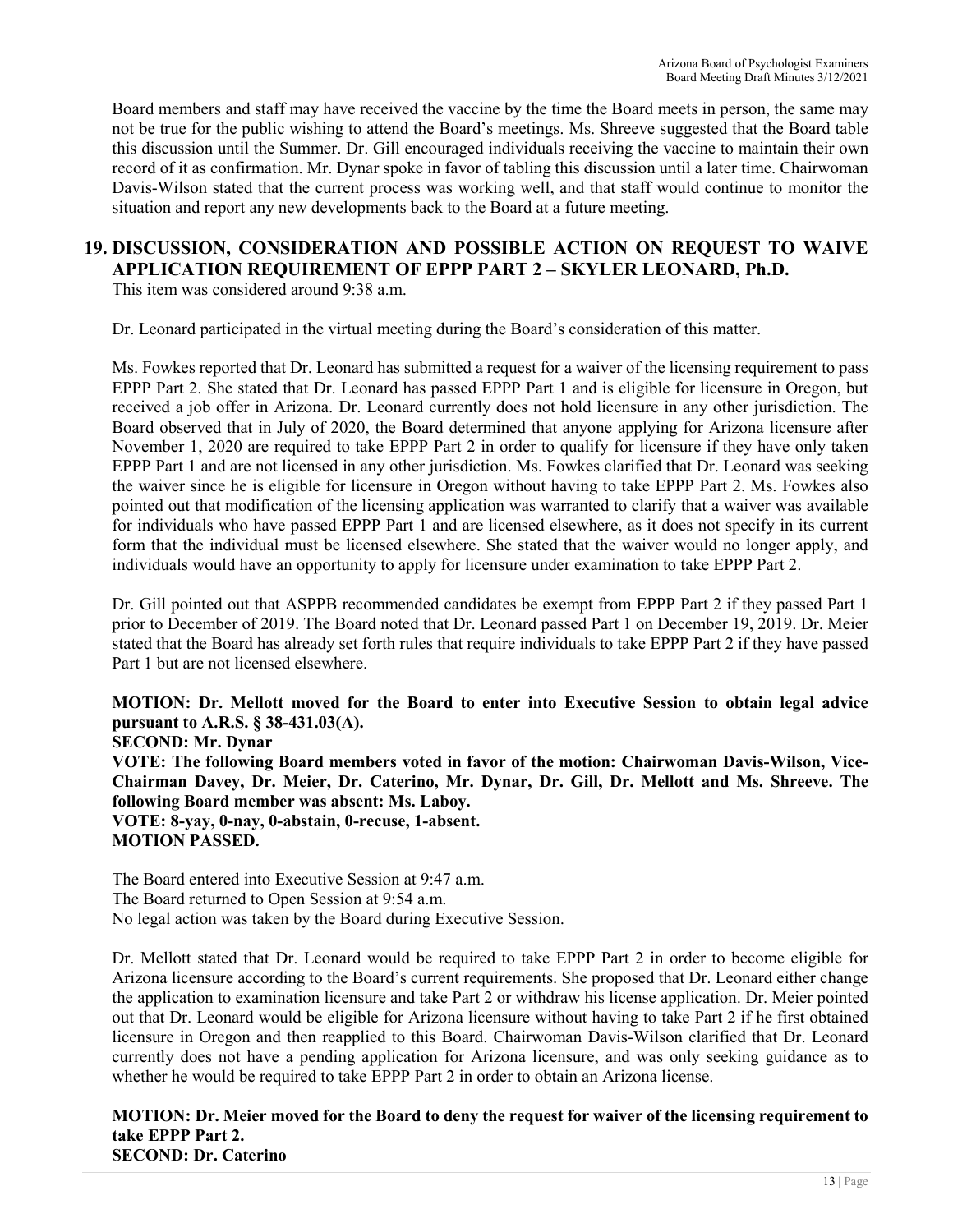Board members and staff may have received the vaccine by the time the Board meets in person, the same may not be true for the public wishing to attend the Board's meetings. Ms. Shreeve suggested that the Board table this discussion until the Summer. Dr. Gill encouraged individuals receiving the vaccine to maintain their own record of it as confirmation. Mr. Dynar spoke in favor of tabling this discussion until a later time. Chairwoman Davis-Wilson stated that the current process was working well, and that staff would continue to monitor the situation and report any new developments back to the Board at a future meeting.

# **19. DISCUSSION, CONSIDERATION AND POSSIBLE ACTION ON REQUEST TO WAIVE APPLICATION REQUIREMENT OF EPPP PART 2 – SKYLER LEONARD, Ph.D.**

This item was considered around 9:38 a.m.

Dr. Leonard participated in the virtual meeting during the Board's consideration of this matter.

Ms. Fowkes reported that Dr. Leonard has submitted a request for a waiver of the licensing requirement to pass EPPP Part 2. She stated that Dr. Leonard has passed EPPP Part 1 and is eligible for licensure in Oregon, but received a job offer in Arizona. Dr. Leonard currently does not hold licensure in any other jurisdiction. The Board observed that in July of 2020, the Board determined that anyone applying for Arizona licensure after November 1, 2020 are required to take EPPP Part 2 in order to qualify for licensure if they have only taken EPPP Part 1 and are not licensed in any other jurisdiction. Ms. Fowkes clarified that Dr. Leonard was seeking the waiver since he is eligible for licensure in Oregon without having to take EPPP Part 2. Ms. Fowkes also pointed out that modification of the licensing application was warranted to clarify that a waiver was available for individuals who have passed EPPP Part 1 and are licensed elsewhere, as it does not specify in its current form that the individual must be licensed elsewhere. She stated that the waiver would no longer apply, and individuals would have an opportunity to apply for licensure under examination to take EPPP Part 2.

Dr. Gill pointed out that ASPPB recommended candidates be exempt from EPPP Part 2 if they passed Part 1 prior to December of 2019. The Board noted that Dr. Leonard passed Part 1 on December 19, 2019. Dr. Meier stated that the Board has already set forth rules that require individuals to take EPPP Part 2 if they have passed Part 1 but are not licensed elsewhere.

**MOTION: Dr. Mellott moved for the Board to enter into Executive Session to obtain legal advice pursuant to A.R.S. § 38-431.03(A).** 

**SECOND: Mr. Dynar VOTE: The following Board members voted in favor of the motion: Chairwoman Davis-Wilson, Vice-Chairman Davey, Dr. Meier, Dr. Caterino, Mr. Dynar, Dr. Gill, Dr. Mellott and Ms. Shreeve. The following Board member was absent: Ms. Laboy. VOTE: 8-yay, 0-nay, 0-abstain, 0-recuse, 1-absent. MOTION PASSED.** 

The Board entered into Executive Session at 9:47 a.m. The Board returned to Open Session at 9:54 a.m. No legal action was taken by the Board during Executive Session.

Dr. Mellott stated that Dr. Leonard would be required to take EPPP Part 2 in order to become eligible for Arizona licensure according to the Board's current requirements. She proposed that Dr. Leonard either change the application to examination licensure and take Part 2 or withdraw his license application. Dr. Meier pointed out that Dr. Leonard would be eligible for Arizona licensure without having to take Part 2 if he first obtained licensure in Oregon and then reapplied to this Board. Chairwoman Davis-Wilson clarified that Dr. Leonard currently does not have a pending application for Arizona licensure, and was only seeking guidance as to whether he would be required to take EPPP Part 2 in order to obtain an Arizona license.

**MOTION: Dr. Meier moved for the Board to deny the request for waiver of the licensing requirement to take EPPP Part 2. SECOND: Dr. Caterino**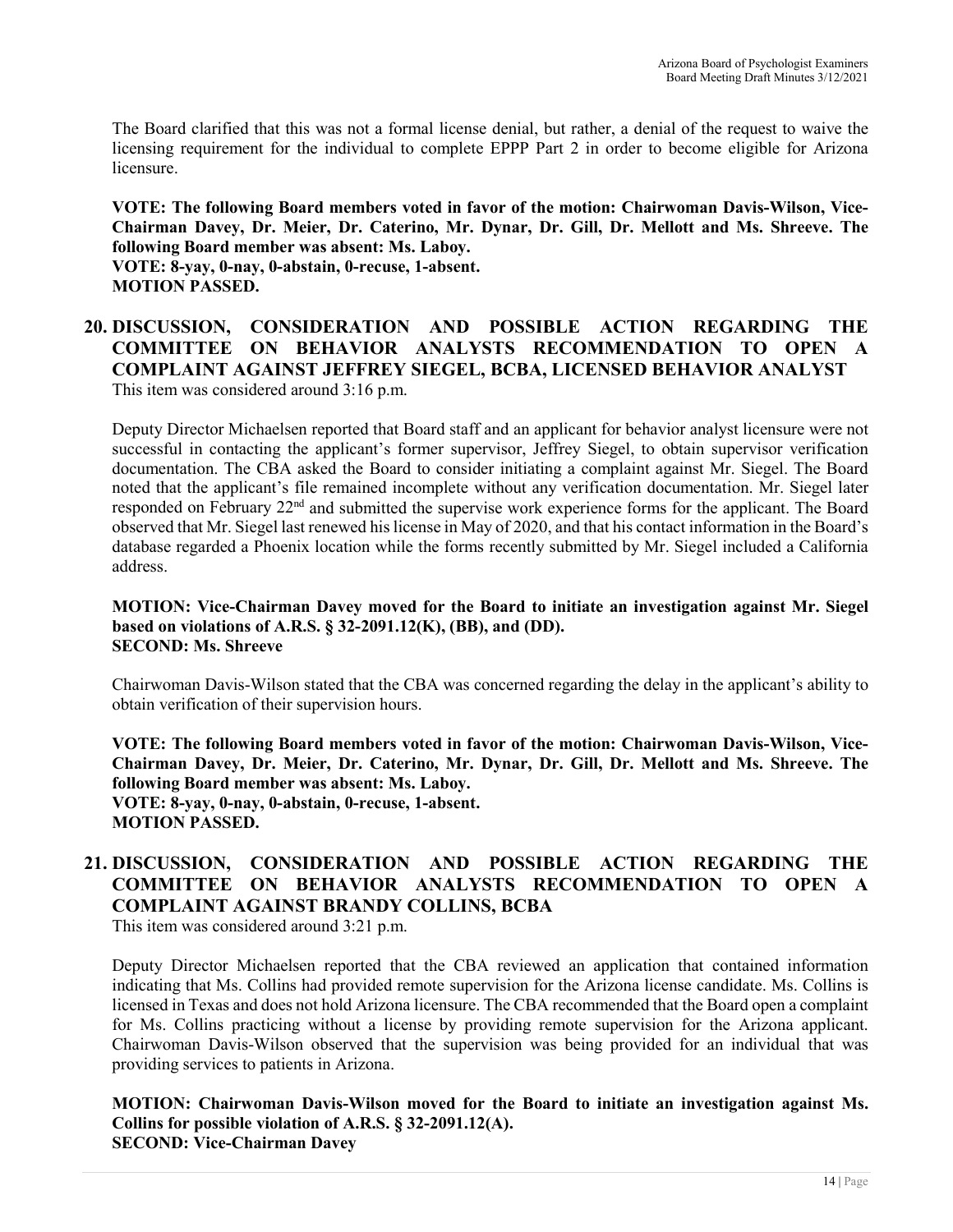The Board clarified that this was not a formal license denial, but rather, a denial of the request to waive the licensing requirement for the individual to complete EPPP Part 2 in order to become eligible for Arizona licensure.

**VOTE: The following Board members voted in favor of the motion: Chairwoman Davis-Wilson, Vice-Chairman Davey, Dr. Meier, Dr. Caterino, Mr. Dynar, Dr. Gill, Dr. Mellott and Ms. Shreeve. The following Board member was absent: Ms. Laboy. VOTE: 8-yay, 0-nay, 0-abstain, 0-recuse, 1-absent.** 

**MOTION PASSED.** 

## **20. DISCUSSION, CONSIDERATION AND POSSIBLE ACTION REGARDING THE COMMITTEE ON BEHAVIOR ANALYSTS RECOMMENDATION TO OPEN A COMPLAINT AGAINST JEFFREY SIEGEL, BCBA, LICENSED BEHAVIOR ANALYST**  This item was considered around 3:16 p.m.

Deputy Director Michaelsen reported that Board staff and an applicant for behavior analyst licensure were not successful in contacting the applicant's former supervisor, Jeffrey Siegel, to obtain supervisor verification documentation. The CBA asked the Board to consider initiating a complaint against Mr. Siegel. The Board noted that the applicant's file remained incomplete without any verification documentation. Mr. Siegel later responded on February 22nd and submitted the supervise work experience forms for the applicant. The Board observed that Mr. Siegel last renewed his license in May of 2020, and that his contact information in the Board's database regarded a Phoenix location while the forms recently submitted by Mr. Siegel included a California address.

#### **MOTION: Vice-Chairman Davey moved for the Board to initiate an investigation against Mr. Siegel based on violations of A.R.S. § 32-2091.12(K), (BB), and (DD). SECOND: Ms. Shreeve**

Chairwoman Davis-Wilson stated that the CBA was concerned regarding the delay in the applicant's ability to obtain verification of their supervision hours.

**VOTE: The following Board members voted in favor of the motion: Chairwoman Davis-Wilson, Vice-Chairman Davey, Dr. Meier, Dr. Caterino, Mr. Dynar, Dr. Gill, Dr. Mellott and Ms. Shreeve. The following Board member was absent: Ms. Laboy. VOTE: 8-yay, 0-nay, 0-abstain, 0-recuse, 1-absent. MOTION PASSED.** 

# **21. DISCUSSION, CONSIDERATION AND POSSIBLE ACTION REGARDING THE COMMITTEE ON BEHAVIOR ANALYSTS RECOMMENDATION TO OPEN A COMPLAINT AGAINST BRANDY COLLINS, BCBA**

This item was considered around 3:21 p.m.

Deputy Director Michaelsen reported that the CBA reviewed an application that contained information indicating that Ms. Collins had provided remote supervision for the Arizona license candidate. Ms. Collins is licensed in Texas and does not hold Arizona licensure. The CBA recommended that the Board open a complaint for Ms. Collins practicing without a license by providing remote supervision for the Arizona applicant. Chairwoman Davis-Wilson observed that the supervision was being provided for an individual that was providing services to patients in Arizona.

**MOTION: Chairwoman Davis-Wilson moved for the Board to initiate an investigation against Ms. Collins for possible violation of A.R.S. § 32-2091.12(A). SECOND: Vice-Chairman Davey**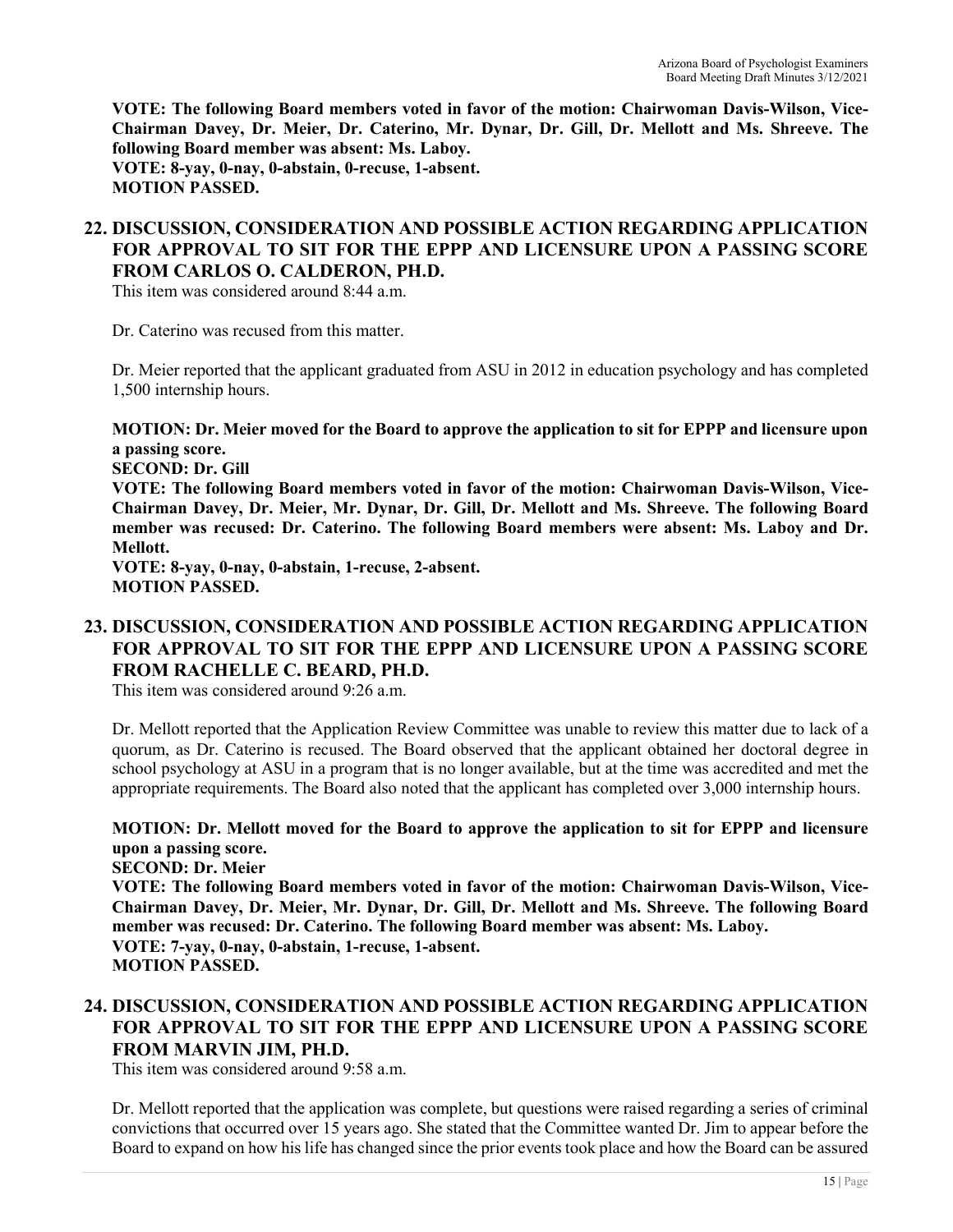**VOTE: The following Board members voted in favor of the motion: Chairwoman Davis-Wilson, Vice-Chairman Davey, Dr. Meier, Dr. Caterino, Mr. Dynar, Dr. Gill, Dr. Mellott and Ms. Shreeve. The following Board member was absent: Ms. Laboy. VOTE: 8-yay, 0-nay, 0-abstain, 0-recuse, 1-absent. MOTION PASSED.** 

## **22. DISCUSSION, CONSIDERATION AND POSSIBLE ACTION REGARDING APPLICATION FOR APPROVAL TO SIT FOR THE EPPP AND LICENSURE UPON A PASSING SCORE FROM CARLOS O. CALDERON, PH.D.**

This item was considered around 8:44 a.m.

Dr. Caterino was recused from this matter.

Dr. Meier reported that the applicant graduated from ASU in 2012 in education psychology and has completed 1,500 internship hours.

**MOTION: Dr. Meier moved for the Board to approve the application to sit for EPPP and licensure upon a passing score.** 

**SECOND: Dr. Gill** 

**VOTE: The following Board members voted in favor of the motion: Chairwoman Davis-Wilson, Vice-Chairman Davey, Dr. Meier, Mr. Dynar, Dr. Gill, Dr. Mellott and Ms. Shreeve. The following Board member was recused: Dr. Caterino. The following Board members were absent: Ms. Laboy and Dr. Mellott.**

**VOTE: 8-yay, 0-nay, 0-abstain, 1-recuse, 2-absent. MOTION PASSED.** 

## **23. DISCUSSION, CONSIDERATION AND POSSIBLE ACTION REGARDING APPLICATION FOR APPROVAL TO SIT FOR THE EPPP AND LICENSURE UPON A PASSING SCORE FROM RACHELLE C. BEARD, PH.D.**

This item was considered around 9:26 a.m.

Dr. Mellott reported that the Application Review Committee was unable to review this matter due to lack of a quorum, as Dr. Caterino is recused. The Board observed that the applicant obtained her doctoral degree in school psychology at ASU in a program that is no longer available, but at the time was accredited and met the appropriate requirements. The Board also noted that the applicant has completed over 3,000 internship hours.

### **MOTION: Dr. Mellott moved for the Board to approve the application to sit for EPPP and licensure upon a passing score.**

**SECOND: Dr. Meier VOTE: The following Board members voted in favor of the motion: Chairwoman Davis-Wilson, Vice-Chairman Davey, Dr. Meier, Mr. Dynar, Dr. Gill, Dr. Mellott and Ms. Shreeve. The following Board member was recused: Dr. Caterino. The following Board member was absent: Ms. Laboy. VOTE: 7-yay, 0-nay, 0-abstain, 1-recuse, 1-absent. MOTION PASSED.** 

## **24. DISCUSSION, CONSIDERATION AND POSSIBLE ACTION REGARDING APPLICATION FOR APPROVAL TO SIT FOR THE EPPP AND LICENSURE UPON A PASSING SCORE FROM MARVIN JIM, PH.D.**

This item was considered around 9:58 a.m.

Dr. Mellott reported that the application was complete, but questions were raised regarding a series of criminal convictions that occurred over 15 years ago. She stated that the Committee wanted Dr. Jim to appear before the Board to expand on how his life has changed since the prior events took place and how the Board can be assured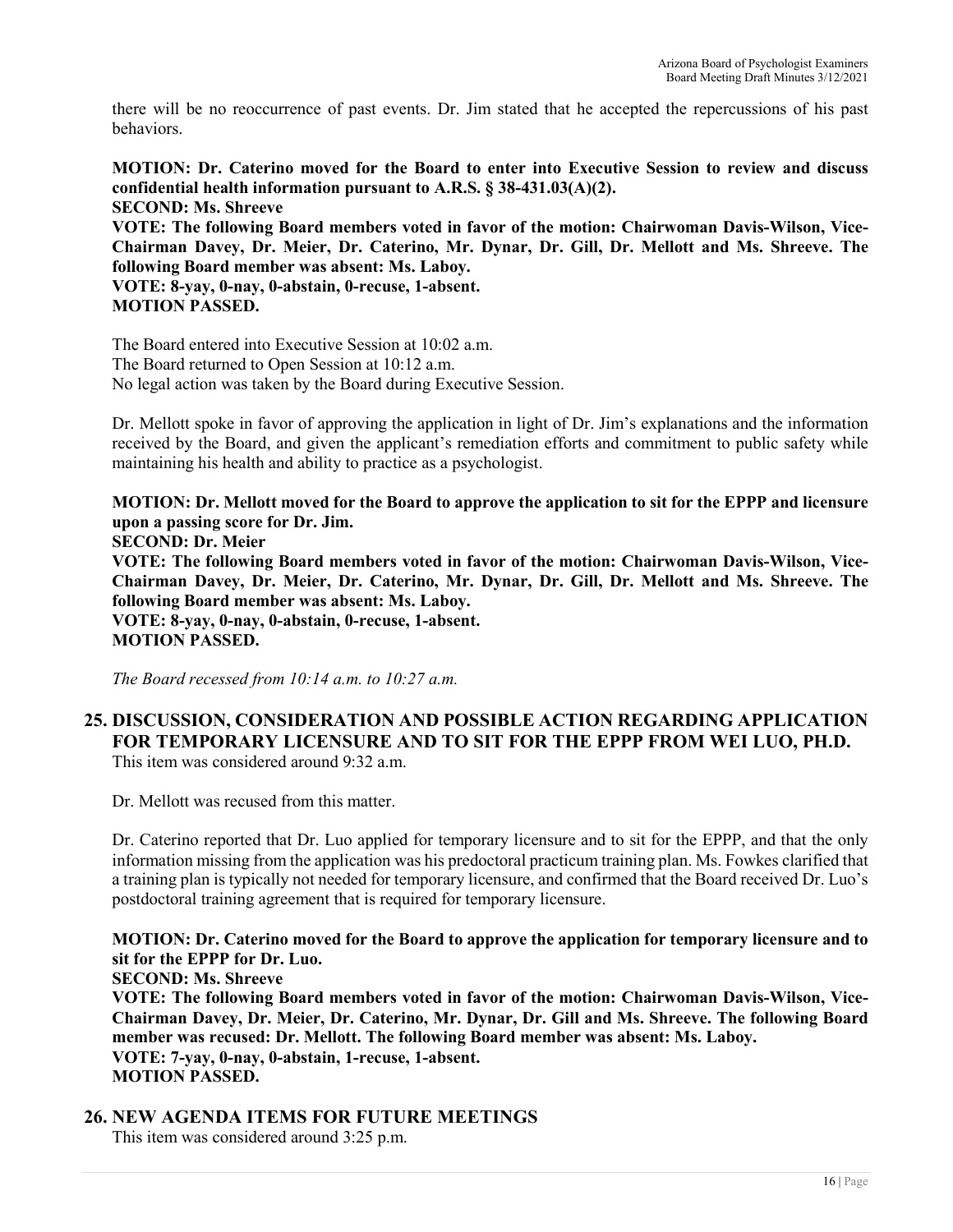there will be no reoccurrence of past events. Dr. Jim stated that he accepted the repercussions of his past behaviors.

**MOTION: Dr. Caterino moved for the Board to enter into Executive Session to review and discuss confidential health information pursuant to A.R.S. § 38-431.03(A)(2). SECOND: Ms. Shreeve** 

**VOTE: The following Board members voted in favor of the motion: Chairwoman Davis-Wilson, Vice-Chairman Davey, Dr. Meier, Dr. Caterino, Mr. Dynar, Dr. Gill, Dr. Mellott and Ms. Shreeve. The following Board member was absent: Ms. Laboy.**

**VOTE: 8-yay, 0-nay, 0-abstain, 0-recuse, 1-absent. MOTION PASSED.** 

The Board entered into Executive Session at 10:02 a.m. The Board returned to Open Session at 10:12 a.m. No legal action was taken by the Board during Executive Session.

Dr. Mellott spoke in favor of approving the application in light of Dr. Jim's explanations and the information received by the Board, and given the applicant's remediation efforts and commitment to public safety while maintaining his health and ability to practice as a psychologist.

**MOTION: Dr. Mellott moved for the Board to approve the application to sit for the EPPP and licensure upon a passing score for Dr. Jim. SECOND: Dr. Meier VOTE: The following Board members voted in favor of the motion: Chairwoman Davis-Wilson, Vice-Chairman Davey, Dr. Meier, Dr. Caterino, Mr. Dynar, Dr. Gill, Dr. Mellott and Ms. Shreeve. The following Board member was absent: Ms. Laboy. VOTE: 8-yay, 0-nay, 0-abstain, 0-recuse, 1-absent. MOTION PASSED.** 

*The Board recessed from 10:14 a.m. to 10:27 a.m.* 

#### **25. DISCUSSION, CONSIDERATION AND POSSIBLE ACTION REGARDING APPLICATION FOR TEMPORARY LICENSURE AND TO SIT FOR THE EPPP FROM WEI LUO, PH.D.**  This item was considered around 9:32 a.m.

Dr. Mellott was recused from this matter.

Dr. Caterino reported that Dr. Luo applied for temporary licensure and to sit for the EPPP, and that the only information missing from the application was his predoctoral practicum training plan. Ms. Fowkes clarified that a training plan is typically not needed for temporary licensure, and confirmed that the Board received Dr. Luo's postdoctoral training agreement that is required for temporary licensure.

**MOTION: Dr. Caterino moved for the Board to approve the application for temporary licensure and to sit for the EPPP for Dr. Luo.** 

**SECOND: Ms. Shreeve** 

**VOTE: The following Board members voted in favor of the motion: Chairwoman Davis-Wilson, Vice-Chairman Davey, Dr. Meier, Dr. Caterino, Mr. Dynar, Dr. Gill and Ms. Shreeve. The following Board member was recused: Dr. Mellott. The following Board member was absent: Ms. Laboy. VOTE: 7-yay, 0-nay, 0-abstain, 1-recuse, 1-absent. MOTION PASSED.** 

# **26. NEW AGENDA ITEMS FOR FUTURE MEETINGS**

This item was considered around 3:25 p.m.